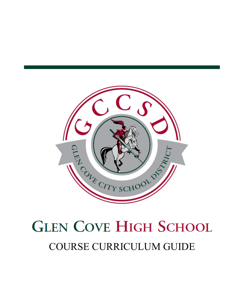

# **GLEN COVE HIGH SCHOOL** COURSE CURRICULUM GUIDE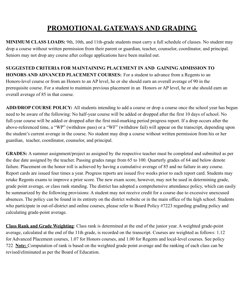### **PROMOTIONAL GATEWAYS AND GRADING**

**MINIMUM CLASS LOADS:** 9th, 10th, and 11th-grade students must carry a full schedule of classes. No student may drop a course without written permission from their parent or guardian, teacher, counselor, coordinator, and principal. Seniors may not drop any course after college applications have been mailed out.

**SUGGESTED CRITERIA FOR MAINTAINING PLACEMENT IN AND GAINING ADMISSION TO HONORS AND ADVANCED PLACEMENT COURSES:** For a student to advance from a Regents to an Honors-level course or from an Honors to an AP level, he or she should earn an overall average of 90 in the prerequisite course. For a student to maintain previous placement in an Honors or AP level, he or she should earn an overall average of 85 in that course.

**ADD/DROP COURSE POLICY:** All students intending to add a course or drop a course once the school year has begun need to be aware of the following: No half-year course will be added or dropped after the first 10 days of school. No full-year course will be added or dropped after the first mid-marking period progress report. If a drop occurs after the above-referenced time, a "WP" (withdraw pass) or a "WF" (withdraw fail) will appear on the transcript, depending upon the student's current average in the course. No student may drop a course without written permission from his or her guardian, teacher, coordinator, counselor, and principal.

**GRADES:** A summer assignment/project as assigned by the respective teacher must be completed and submitted as per the due date assigned by the teacher. Passing grades range from 65 to 100. Quarterly grades of 64 and below denote failure. Placement on the honor roll is achieved by having a cumulative average of 85 and no failure in any course. Report cards are issued four times a year. Progress reports are issued five weeks prior to each report card. Students may retake Regents exams to improve a prior score. The new exam score, however, may not be used in determining grade, grade point average, or class rank standing. The district has adopted a comprehensive attendance policy, which can easily be summarized by the following provisions: A student may not receive credit for a course due to excessive unexcused absences. The policy can be found in its entirety on the district website or in the main office of the high school. Students who participate in out-of-district and online courses, please refer to Board Policy #7223 regarding grading policy and calculating grade-point average.

**Class Rank and Grade Weighting**: Class rank is determined at the end of the junior year. A weighted grade-point average, calculated at the end of the 11th grade, is recorded on the transcript. Courses are weighted as follows: 1.12 for Advanced Placement courses, 1.07 for Honors courses, and 1.00 for Regents and local-level courses. See policy 722 **Note:** Computation of rank is based on the weighted grade point average and the ranking of each class can be revised/eliminated as per the Board of Education.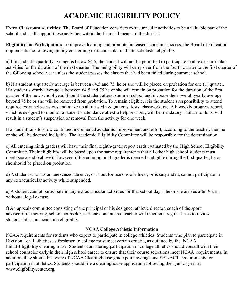### **ACADEMIC ELIGIBILITY POLICY**

**Extra Classroom Activities:** The Board of Education considers extracurricular activities to be a valuable part of the school and shall support these activities within the financial means of the district.

**Eligibility for Participation:** To improve learning and promote increased academic success, the Board of Education implements the following policy concerning extracurricular and interscholastic eligibility:

a) If a student's quarterly average is below 64.5, the student will not be permitted to participate in all extracurricular activities for the duration of the next quarter. The ineligibility will carry over from the fourth quarter to the first quarter of the following school year unless the student passes the classes that had been failed during summer school.

b) If a student's quarterly average is between 64.5 and 75, he or she will be placed on probation for one (1) quarter. If a student's yearly average is between 64.5 and 75 he or she will remain on probation for the duration of the first quarter of the new school year. Should the student attend summer school and increase their overall yearly average beyond 75 he or she will be removed from probation. To remain eligible, it is the student's responsibility to attend required extra help sessions and make up all missed assignments, tests, classwork, etc. A biweekly progress report, which is designed to monitor a student's attendance at extra help sessions, will be mandatory. Failure to do so will result in a student's suspension or removal from the activity for one week.

If a student fails to show continued incremental academic improvement and effort, according to the teacher, then he or she will be deemed ineligible. The Academic Eligibility Committee will be responsible for the determination.

c) All entering ninth graders will have their final eighth-grade report cards evaluated by the High School Eligibility Committee. Their eligibility will be based upon the same requirements that all other high school students must meet (see a and b above). However, if the entering ninth grader is deemed ineligible during the first quarter, he or she should be placed on probation.

d) A student who has an unexcused absence, or is out for reasons of illness, or is suspended, cannot participate in any extracurricular activity while suspended.

e) A student cannot participate in any extracurricular activities for that school day if he or she arrives after 9 a.m. without a legal excuse.

f) An appeals committee consisting of the principal or his designee, athletic director, coach of the sport/ adviser of the activity, school counselor, and one content area teacher will meet on a regular basis to review student status and academic eligibility.

#### **NCAA College Athletic Information**

NCAA requirements for students who expect to participate in college athletics: Students who plan to participate in Division I or II athletics as freshmen in college must meet certain criteria, as outlined by the NCAA Initial-Eligibility Clearinghouse. Students considering participation in college athletics should consult with their school counselor early in their high school career to ensure that their course selections meet NCAA requirements. In addition, they should be aware of NCAA Clearinghouse grade point average and SAT/ACT requirements for participation in athletics. Students should file a clearinghouse application following their junior year at www.eligibilitycenter.org.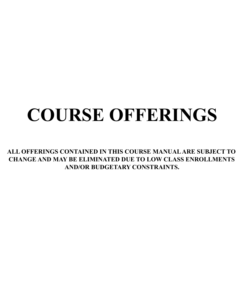# **COURSE OFFERINGS**

**ALL OFFERINGS CONTAINED IN THIS COURSE MANUALARE SUBJECT TO CHANGE AND MAY BE ELIMINATED DUE TO LOW CLASS ENROLLMENTS AND/OR BUDGETARY CONSTRAINTS.**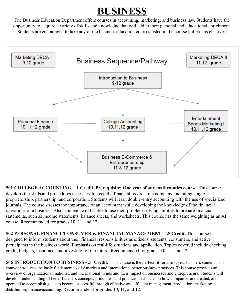# **BUSINESS**

The Business Education Department offers courses in accounting, marketing, and business law. Students have the opportunity to acquire a variety of skills and knowledge that will add to their personal and educational enrichment. Students are encouraged to take any of the business education courses listed in the course bulletin as electives.



**501 COLLEGE ACCOUNTING** – **1 Credit. Prerequisite: One year of any mathematics course.** This course develops the skills and procedures necessary to keep the financial records of a company, including single proprietorship, partnership, and corporation. Students will learn double-entry accounting with the use of specialized journals. The course stresses the importance of an accountant while developing the knowledge of the financial operations of a business. Also, students will be able to use their problem-solving abilities to prepare financial statements, such as income statements, balance sheets, and worksheets. This course has the same weighting as an AP course. Recommended for grades 10, 11, and 12.

**502 PERSONAL FINANCE/CONSUMER & FINANCIAL MANAGEMENT** – **.5 Credit.** This course is designed to inform students about their financial responsibilities as citizens, students, consumers, and active participants in the business world. Emphasis on real-life situations and application. Topics covered include checking, credit, budgets, insurance, and investing for the future. Recommended for grades 10, 11, and 12.

**506 INTRODUCTION TO BUSINESS - .5 Credit.** This course is the perfect fit for a first year business student. This course introduces the basic fundamentals of American and International better business practices. This course provides an overview of organizational, national, and international trends and their impact on businesses and entrepreneurs. Students will develop understanding of better business concepts, principles, and practices that focus on how companies are created, and operated to accomplish goals to become successful through effective and efficient management, production, marketing, distribution, finance/accounting. Recommended for grades 10, 11, and 12.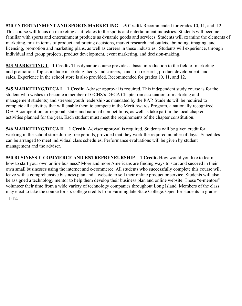**520 ENTERTAINMENT AND SPORTS MARKETING** – **.5 Credit.** Recommended for grades 10, 11, and 12. This course will focus on marketing as it relates to the sports and entertainment industries. Students will become familiar with sports and entertainment products as dynamic goods and services. Students will examine the elements of marketing, mix in terms of product and pricing decisions, market research and outlets, branding, imaging, and licensing, promotion and marketing plans, as well as careers in these industries. Students will experience, through individual and group projects, product development, event marketing, and decision-making.

**543 MARKETING I** – 1 Credit. This dynamic course provides a basic introduction to the field of marketing and promotion. Topics include marketing theory and careers, hands-on research, product development, and sales. Experience in the school store is also provided. Recommended for grades 10, 11, and 12.

**545 MARKETING/DECA I** – **1 Credit.** Adviser approval is required. This independent study course is for the student who wishes to become a member of GCHS's DECA Chapter (an association of marketing and management students) and stresses youth leadership as mandated by the RAP. Students will be required to complete all activities that will enable them to compete in the Merit Awards Program, a nationally recognized DECA competition, or regional, state, and national competitions, as well as take part in the local chapter activities planned for the year. Each student must meet the requirements of the chapter constitution.

**546 MARKETING/DECA II** – **1 Credit.** Adviser approval is required. Students will be given credit for working in the school store during free periods, provided that they work the required number of days. Schedules can be arranged to meet individual class schedules. Performance evaluations will be given by student management and the adviser.

**550 BUSINESS E-COMMERCE AND ENTREPRENEURSHIP** – **1 Credit.** How would you like to learn how to start your own online business? More and more Americans are finding ways to start and succeed in their own small businesses using the internet and e-commerce. All students who successfully complete this course will leave with a comprehensive business plan and a website to sell their online product or service. Students will also be assigned a technology mentor to help them develop their business plan and online website. These "e-mentors" volunteer their time from a wide variety of technology companies throughout Long Island. Members of the class may elect to take the course for six college credits from Farmingdale State College. Open for students in grades 11-12.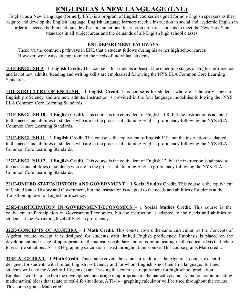### **ENGLISH AS A NEW LANGUAGE (ENL)**

English as a New Language (formerly ESL) is a program of English courses designed for non-English speakers as they acquire and develop the English language. English language learners receive instruction in social and academic English in order to succeed both in and outside of school situations. Instruction prepares students to meet the New York State standards in all subject areas and the demands of all-English high school classes.

#### **ENL DEPARTMENT PATHWAYS**

These are the common pathways in ENL that a student follows during his or her high school career. However, we always attempt to meet the needs of individual students.

**101E-ENGLISH 9** – **1 English Credit.** This course is for students at least at the emerging stages of English proficiency and is not new admits. Reading and writing skills are emphasized following the NYS ELA Common Core Learning Standards.

**111E-STRUCTURE OF ENGLISH** – **1 English Credit.** This course is for students who are at the early stages of English proficiency and are new admits. Instruction is provided in the four language modalities following the NYS ELA Common Core Learning Standards.

**121E-ENGLISH 10** – **1 English Credit.** This course is the equivalent of English 10R, but the instruction is adapted to the needs and abilities of students who are in the process of attaining English proficiency following the NYS ELA Common Core Learning Standards.

**131E-ENGLISH 11** – **1 English Credit.** This course is the equivalent of English 11R, but the instruction is adapted to the needs and abilities of students who are in the process of attaining English proficiency following the NYS ELA Common Core Learning Standards.

**132E-ENGLISH 12** – **1 English Credit.** This course is the equivalent of English 12, but the instruction is adapted to the needs and abilities of students who are in the process of attaining English proficiency following the NYS ELA Common Core Learning Standards.

**221E-UNITED STATES HISTORY AND GOVERNMENT** – **1 Social Studies Credit.** This course is the equivalent of United States History and Government, but the instruction is adapted to the needs and abilities of students at the Transitioning level of English proficiency.

**236E-PARTICIPATION IN GOVERNMENT/ECONOMICS** – **1 Social Studies Credit.** This course is the equivalent of Participation in Government/Economics, but the instruction is adapted to the needs and abilities of students at the Expanding level of English proficiency.

**322E-CONCEPTS OF ALGEBRA** – **1 Math Credit.** This course covers the same curriculum as the Concepts of Algebra course, except it is designed for students with limited English proficiency. Emphasis is placed on the development and usage of appropriate mathematical vocabulary and on communicating mathematical ideas that relate to real-life situations. A TI-84+ graphing calculator is used throughout this course. This course grants Math credit.

**323E-ALGEBRA 1** – **1 Math Credit.** This course covers the same curriculum as the Algebra 1 course, except it is designed for students with limited English proficiency and for whom English is not their first language. In June, students will take the Algebra 1 Regents exam. Passing this exam is a requirement for high school graduation. Emphasis will be placed on the development and usage of appropriate mathematical vocabulary and on communicating mathematical ideas that relate to real-life situations. A TI-84+ graphing calculator will be used throughout the course. This course grants Math credit.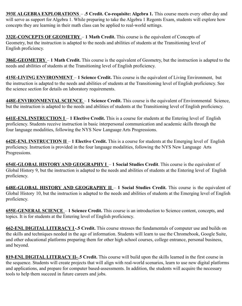**393E ALGEBRA EXPLORATIONS** – **.5 Credit. Co-requisite: Algebra 1.** This course meets every other day and will serve as support for Algebra 1. While preparing to take the Algebra 1 Regents Exam, students will explore how concepts they are learning in their math class can be applied to real-world settings.

**332E-CONCEPTS OF GEOMETRY** – **1 Math Credit.** This course is the equivalent of Concepts of Geometry, but the instruction is adapted to the needs and abilities of students at the Transitioning level of English proficiency.

**386E-GEOMETRY** – **1 Math Credit.** This course is the equivalent of Geometry, but the instruction is adapted to the needs and abilities of students at the Transitioning level of English proficiency.

**415E-LIVING ENVIRONMENT** – **1 Science Credit.** This course is the equivalent of Living Environment, but the instruction is adapted to the needs and abilities of students at the Transitioning level of English proficiency. See the science section for details on laboratory requirements.

**448E-ENVIRONMENTAL SCIENCE** – **1 Science Credit.** This course is the equivalent of Environmental Science, but the instruction is adapted to the needs and abilities of students at the Transitioning level of English proficiency.

**641E-ENL INSTRUCTION I** – **1 Elective Credit.** This is a course for students at the Entering level of English proficiency. Students receive instruction in basic interpersonal communication and academic skills through the four language modalities, following the NYS New Language Arts Progressions.

**642E-ENL INSTRUCTION II** – **1 Elective Credit.** This is a course for students at the Emerging level of English proficiency. Instruction is provided in the four language modalities, following the NYS New Language Arts Progressions.

**654E-GLOBAL HISTORY AND GEOGRAPHY I** – **1 Social Studies Credit**. This course is the equivalent of Global History 9, but the instruction is adapted to the needs and abilities of students at the Entering level of English proficiency.

**648E-GLOBAL HISTORY AND GEOGRAPHY II** – **1 Social Studies Credit.** This course is the equivalent of Global History 10, but the instruction is adapted to the needs and abilities of students at the Emerging level of English proficiency.

**655E-GENERAL SCIENCE** – **1 Science Credit.** This course is an introduction to Science content, concepts, and topics. It is for students at the Entering level of English proficiency.

**662-ENL DIGITAL LITERACY I-.5 Credit.** This course stresses the fundamentals of computer use and builds on the skills and techniques needed in the age of information. Students will learn to use the Chromebook, Google Suite, and other educational platforms preparing them for other high school courses, college entrance, personal business, and beyond.

**819-ENL DIGITAL LITERACY II-.5 Credit.** This course will build upon the skills learned in the first course in the sequence. Students will create projects that will align with real-world scenarios, learn to use new digital platforms and applications, and prepare for computer based-assessments. In addition, the students will acquire the necessary tools to help them succeed in future careers and jobs.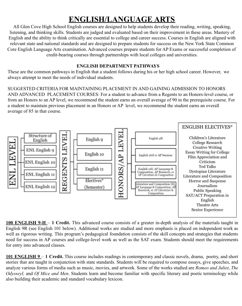### **ENGLISH/LANGUAGE ARTS**

All Glen Cove High School English courses are designed to help students develop their reading, writing, speaking, listening, and thinking skills. Students are judged and evaluated based on their improvement in these areas. Mastery of English and the ability to think critically are essential to college and career success. Courses in English are aligned with relevant state and national standards and are designed to prepare students for success on the New York State Common Core English Language Arts examination. Advanced courses prepare students for AP Exams or successful completion of credit-bearing courses through partnerships with local colleges and universities.

#### **ENGLISH DEPARTMENT PATHWAYS**

These are the common pathways in English that a student follows during his or her high school career. However, we always attempt to meet the needs of individual students.

SUGGESTED CRITERIA FOR MAINTAINING PLACEMENT IN AND GAINING ADMISSION TO HONORS AND ADVANCED PLACEMENT COURSES: For a student to advance from a Regents to an Honors-level course, or from an Honors to an AP level, we recommend the student earns an overall average of 90 in the prerequisite course. For a student to maintain previous placement in an Honors or AP level, we recommend the student earns an overall average of 85 in that course.



**100 ENGLISH 9-H** – **1 Credit.** This advanced course consists of a greater in-depth analysis of the materials taught in English 9R (see English 101 below). Additional works are studied and more emphasis is placed on independent work as well as rigorous writing. This program's pedagogical foundation consists of the skill concepts and strategies that students need for success in AP courses and college-level work as well as the SAT exam. Students should meet the requirements for entry into advanced classes.

**101 ENGLISH 9** – **1 Credit.** This course includes readings in contemporary and classic novels, drama, poetry, and short stories that are taught in conjunction with state standards. Students will be required to compose essays, give speeches, and analyze various forms of media such as music, movies, and artwork. Some of the works studied are *Romeo and Juliet*, *The OdysseyI,* and *Of Mice and Men*. Students learn and become familiar with specific literary and poetic terminology while also building their academic and standard vocabulary lexicon.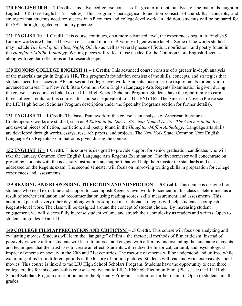**120 ENGLISH 10-H** – **1 Credit.** This advanced course consists of a greater in-depth analysis of the materials taught in English 10R (see English 121 below). This program's pedagogical foundation consists of the skills, concepts, and strategies that students need for success in AP courses and college-level work. In addition, students will be prepared for the SAT through targeted vocabulary practice.

**121 ENGLISH 10** – **1 Credit.** This course continues, on a more advanced level, the experiences begun in English 9. Literary works are balanced between classic and modern. A variety of genres are taught. Some of the works studied may include *The Lord of the Flies*, *Night*, *Othello* as well as several pieces of fiction, nonfiction, and poetry found in the *Houghton-Mifflin Anthology*. Writing pieces will reflect those needed for the Common Core English Regents along with regular reflections and a research paper.

**130 HONORS COLLEGE ENGLISH 11** – **1 Credit.** This advanced course consists of a greater in-depth analysis of the materials taught in English 11R. This program's foundation consists of the skills, concepts, and strategies that students need for success in AP courses and college-level work. Students must meet the requirements for entry into advanced courses. The New York State Common Core English Language Arts Regents Examination is given during the course. This course is linked to the LIU High School Scholars Program. Students have the opportunity to earn three college credits for this course--this course is equivalent to LIU's ENG 162: The American Novel. (Please see the LIU High School Scholars Program description under the Specialty Programs section for further details).

**131 ENGLISH 11** – **1 Credit.** The basic framework of this course is an analysis of American literature. Contemporary works are studied, such as *A Raisin in the Sun*, *A Streetcar Named Desire*, *The Catcher in the Rye,* and several pieces of fiction, nonfiction, and poetry found in the *Houghton-Mifflin Anthology*. Language arts skills are developed through works, essays, research papers, and projects. The New York State Common Core English Language Arts Regents Examination is given during the course.

**132 ENGLISH 12** – **1 Credit.** This course is designed to provide support for senior graduation candidates who will take the January Common Core English Language Arts Regents Examination. The first semester will concentrate on providing students with the necessary instruction and support that will help them master the standards and tasks addressed on the Regents exam. The second semester will focus on improving writing skills in preparation for college experiences and assessments.

**139 READING AND RESPONDING TO FICTION AND NONFICTION** – **.5 Credit.** This course is designed for students who need extra time and support to accomplish Regents-level work. Placement in this class is determined as a result of teacher evaluation and recommendation using reading scores, skills measurement, and assessments. This additional period--every other day--along with prescriptive instructional strategies will help students accomplish Regents-level work. The class will be designed around the concept of student choice. By increasing student engagement, we will successfully increase student volume and stretch their complexity as readers and writers. Open to students in grades 10 and 11.

**140 COLLEGE FILM APPRECIATION AND CRITICISM** – **.5 Credit.** This course will focus on analyzing and evaluating movies. Students will learn the "language" of film – the rhetorical methods of film criticism. Instead of passively viewing a film, students will learn to interact and engage with a film by understanding the cinematic elements and techniques that the artist uses to create an effect. Students will realize the historical, cultural, and psychological impact of cinema on society in the 20th and 21st centuries. The rhetoric of cinema will be understood and utilized while examining films from different periods in the history of motion pictures. Students will read and write extensively about movies. This course is linked to the LIU High School Scholars Program. Students have the opportunity to earn three college credits for this course--this course is equivalent to LIU's ENG 69: Fiction in Film. (Please see the LIU High School Scholars Program description under the Specialty Programs section for further details). Open to students in all grades.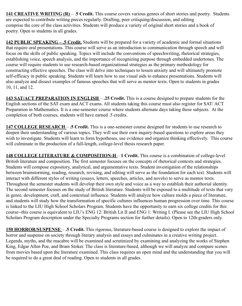**141 CREATIVE WRITING (R)** – .**5 Credit.** This course covers various genres of short stories and poetry. Students are expected to contribute writing pieces regularly. Drafting, peer critiquing/discussion, and editing comprise the core of the class activities. Students will produce a variety of original short stories and a book of poetry. Open to students in all grades.

**142 PUBLIC SPEAKING – .5 Credit.** Students will be prepared for a variety of academic and formal situations that require oral presentations. This course will serve as an introduction to communication through speech and will focus on the skills of public speaking. Topics will include the conventions of speechwriting, rhetorical strategies, establishing voice, speech analysis, and the importance of recognizing purpose through embedded undertones. The course will require students to use research-based organizational strategies as the primary methodology for constructing effective speeches. The class will delve into techniques to lessen anxiety and will ultimately promote self-efficacy in public speaking. Students will learn how to use visual aids to enhance presentations. Students will also analyze and dissect examples of famous speeches that will serve as mentor texts. Open to students in grades 10, 11, and 12.

**143 SAT/ACT PREPARATION IN ENGLISH** – **.25 Credit.** This is a course designed to prepare students for the English sections of the SAT exam and ACT exams. All students taking this course must also register for SAT/ ACT Preparation in Mathematics. It is a one-semester course where students alternate days taking these subjects. At the completion of both courses, students will have earned .5 credits.

**147 COLLEGE RESEARCH** – **.5 Credit.** This is a one-semester course designed for students to use research to deepen their understanding of various topics. They will use their own inquiry-based questions to explore areas they wish to investigate. Students will learn to form hypotheses, use evidence and organize thinking effectively. This course will culminate in the production of a full-length, college-level thesis research paper.

**148 COLLEGE LITERATURE & COMPOSITION-H** – **1 Credit.** This course is a combination of college-level British literature and composition. The first semester focuses on the concepts of rhetorical contexts and strategies. Students will compose expository, analytical, and argumentative texts. Student investigation of the relationships between brainstorming, reading, research, revising, and editing will serve as the foundation for each text. Students will interact with different styles of writing (essays, letters, speeches, articles, and novels) to serve as mentor texts. Throughout the semester students will develop their own style and voice as a way to establish their authorial identity. The second semester focuses on the study of British literature. Students will be exposed to a multitude of texts that vary in genre, development, craft, and contextual influence. Students will analyze how culture molds a piece of literature, and students will study how the transformation of specific cultures influences human progression over time. This course is linked to the LIU High School Scholars Program. Students have the opportunity to earn six college credits for this course--this course is equivalent to LIU's ENG 12: British Lit II and ENG 1: Writing I. (Please see the LIU High School Scholars Program description under the Specialty Programs section for further details). Open to 12th-graders only.

**150 HORROR/SUSPENSE** – **.5 Credit.** This rigorous, literature-based course is designed to explore the impact of horror and suspense on society through literary analysis and essays and culminates in a creative writing project. Legends, myths, and the macabre will be examined and scrutinized by examining and analyzing the works of Stephen King, Edgar Allen Poe, and Bram Stoker. The class is literature-based, although we will analyze and compare scenes from movies based upon the literature examined. This class requires an open mind and the understanding that you will be required to do a great deal of reading. Open to students in all grades.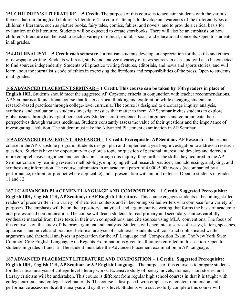**151 CHILDREN'S LITERATURE** – **.5 Credit.** The purpose of this course is to acquaint students with the various themes that run through all children's literature. The course attempts to develop an awareness of the different types of children's literature, such as picture books, fairy tales, comics, fables, and novels, and to provide a critical basis for evaluation of this literature. Students will be expected to create storybooks. There will also be an emphasis on how children's literature can be used to teach a variety of ethical, moral, social, and educational concepts. Open to students in all grades.

**154 JOURNALISM** – **.5 Credit each semester.** Journalism students develop an appreciation for the skills and ethics of newspaper writing. Students will read, study and analyze a variety of news sources in class and will also be expected to find sources independently. Students will practice writing features, editorials, and news and sports stories, and will learn about the journalist's code of ethics in exercising the freedoms and responsibilities of the press. Open to students in all grades.

**166 ADVANCED PLACEMENT SEMINAR – 1 Credit. This course can be taken by 10th graders in place of English 10H.** Students should meet the suggested AP Capstone criteria in conjunction with teacher recommendations. AP Seminar is a foundational course that fosters critical thinking and exploration while engaging students in research-based practices through college-level curricula. The course is designed to encourage inquiry, analysis, synthesis, and evaluation as students investigate issues that matter to them. AP Seminar invites students to explore global issues through divergent perspectives. Students craft evidence-based arguments and communicate their perspectives through various mediums. Students constantly assess the value of their questions and the importance of investigating a solution. The student must take the Advanced Placement examination in AP Seminar.

**169 ADVANCED PLACEMENT RESEARCH – 1 Credit. Prerequisite: AP Seminar.** AP Research is the second course in the AP Capstone program. Students design, plan and implement a yearlong investigation to address a research question. Students have the opportunity to explore a topic or question of personal interest and develop and defend a more comprehensive argument and conclusion. Through this inquiry, they further the skills they acquired in the AP Seminar course by learning research methodology, employing ethical research practices, and addressing, analyzing, and synthesizing information. The course culminates in an academic paper of 4,000-5,000 words (accompanied by a performance, exhibit, or product where applicable) and a presentation with an oral defense. Open to students in grades 11 and 12.

**167 LC ADVANCED PLACEMENT LANGUAGE AND COMPOSITION** – **1 Credit. Suggested Prerequisite: English 10H, English 11H, AP Seminar, or AP English Literature.** This course engages students in becoming skilled readers of prose written in a variety of rhetorical contexts and in becoming skilled writers who compose for a variety of purposes. The emphasis will be on the expository, analytical, and argumentative writing that forms the basis of academic and professional communication. The course will teach students to read primary and secondary sources carefully, synthesize material from these texts in their own compositions, and cite sources using MLA conventions. The focus of this course is on the study of rhetoric: argument and analysis. Students will encounter a series of essays, letters, speeches, aphorisms, and novels and practice rhetorical analysis of such texts. Students will construct sophisticated written arguments and rhetorical analyses in preparation for the AP Language and Composition Exam. The New York State Common Core English Language Arts Regents Examination is given to all juniors enrolled in this section. Open to students in grades 11 and 12. The student must take the Advanced Placement examination in AP Language.

**167 ADVANCED PLACEMENT LITERATURE AND COMPOSITION** – **1 Credit. Suggested Prerequisite: English 10H, English 11H, AP Seminar or AP English Language.** The purpose of this course is to prepare students for the critical analysis of college-level literary works. Extensive study of poetry, novels, dramas, short stories, and literary criticism will be undertaken. This course is different from regular high school courses in that it is taught with college curricula and college-level materials. The course is fast-paced, with emphasis on content immersion and performance assessments at the analysis and synthesis level. Students who successfully complete this course will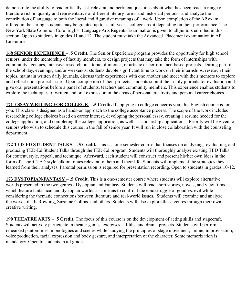demonstrate the ability to read critically, ask relevant and pertinent questions about what has been read--a range of literature rich in quality and representative of different literary forms and historical periods--and analyze the contribution of language to both the literal and figurative meanings of a work. Upon completion of the AP exam offered in the spring, students may be granted up to a full year's college credit depending on their performance. The New York State Common Core English Language Arts Regents Examination is given to all juniors enrolled in this section. Open to students in grades 11 and 12. The student must take the Advanced Placement examination in AP Literature.

**168 SENIOR EXPERIENCE** – **.5 Credit.** The Senior Experience program provides the opportunity for high school seniors, under the mentorship of faculty members, to design projects that may take the form of internships with community agencies, intensive research on a topic of interest, or artistic or performance-based projects. During part of the school day, evenings, and/or weekends, students devote significant time to work on their internships, research their topics, maintain written daily journals, discuss their experiences with one another and meet with their mentors to explore and reflect upon project issues. Upon completion of their projects, students submit their daily journals for evaluation and give oral presentations before a panel of students, teachers and community members. This experience enables students to explore the techniques of written and oral expression in the areas of personal creativity and personal career choices.

**171 ESSAY WRITING FOR COLLEGE** – **.5 Credit.** If applying to college concerns you, this English course is for you. This class is designed as a hands-on approach to the college acceptance process. The scope of the work includes researching college choices based on career interest, developing the personal essay, creating a resume needed for the college application, and completing the college application, as well as scholarship applications. Priority will be given to seniors who wish to schedule this course in the fall of senior year. It will run in close collaboration with the counseling department.

**172 TED-ED STUDENT TALKS** – **.5 Credit.** This is a one-semester course that focuses on analyzing, evaluating, and producing TED-Ed Student Talks through the TED-Ed program. Students will thoroughly analyze existing TED Talks for content, style, appeal, and technique. Afterward, each student will construct and present his/her own ideas in the form of a short, TED-style talk on topics relevant to them and their life. Students will implement the strategies they learned from their analyses. Parental permission is required for presentation recording. Open to students in grades 10-12.

**173 DYSTOPIAN/FANTASY** – **.5 Credit.** This is a one-semester course where students will explore alternative worlds presented in the two genres - Dystopian and Fantasy. Students will read short stories, novels, and view films which feature fantastical and dystopian worlds as a means to confront the epic struggle of good vs. evil while considering the thematic connections between literature and real-world issues. Students will examine and analyze the works of J.K Rowling, Suzanne Collins, and others. Students will also explore these genres through their own creative writing.

**190 THEATRE ARTS** – **.5 Credit.** The focus of this course is on the development of acting skills and stagecraft. Students will actively participate in theater games, exercises, ad-libs, and drama projects. Students will perform rehearsed pantomimes, monologues and scenes while studying the principles of stage movement, mime, improvisation, voice production, facial expression and body gesture, and interpretation of the character. Some memorization is mandatory. Open to students in all grades.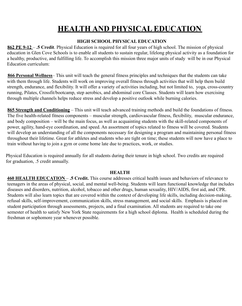### **HEALTH AND PHYSICAL EDUCATION**

#### **HIGH SCHOOL PHYSICAL EDUCATION**

**862 PE 9-12** – **.5 Credit**. Physical Education is required for all four years of high school. The mission of physical education in Glen Cove Schools is to enable all students to sustain regular, lifelong physical activity as a foundation for a healthy, productive, and fulfilling life. To accomplish this mission three major units of study will be in our Physical Education curriculum:

**866 Personal Wellness**– This unit will teach the general fitness principles and techniques that the students can take with them through life. Students will work on improving overall fitness through activities that will help them build strength, endurance, and flexibility. It will offer a variety of activities including, but not limited to, yoga, cross-country running, Pilates, Crossfit/bootcamp, step aerobics, and abdominal core Classes. Students will learn how exercising through multiple channels helps reduce stress and develop a positive outlook while burning calories.

**865 Strength and Conditioning** – This unit will teach advanced training methods and build the foundations of fitness. The five health-related fitness components – muscular strength, cardiovascular fitness, flexibility, muscular endurance, and body composition – will be the main focus, as well as acquainting students with the skill-related components of power, agility, hand-eye coordination, and speed. An assortment of topics related to fitness will be covered. Students will develop an understanding of all the components necessary for designing a program and maintaining personal fitness throughout their lifetime. Great for athletes and students who are tight on time; these students will now have a place to train without having to join a gym or come home late due to practices, work, or studies.

Physical Education is required annually for all students during their tenure in high school. Two credits are required for graduation, .5 credit annually.

#### **HEALTH**

**460 HEALTH EDUCATION** – **.5 Credit.** This course addresses critical health issues and behaviors of relevance to teenagers in the areas of physical, social, and mental well-being. Students will learn functional knowledge that includes diseases and disorders, nutrition, alcohol, tobacco and other drugs, human sexuality, HIV/AIDS, first aid, and CPR. Students will also learn topics that are covered within the context of developing life skills, including decision-making, refusal skills, self-improvement, communication skills, stress management, and social skills. Emphasis is placed on student participation through assessments, projects, and a final examination. All students are required to take one semester of health to satisfy New York State requirements for a high school diploma. Health is scheduled during the freshman or sophomore year whenever possible.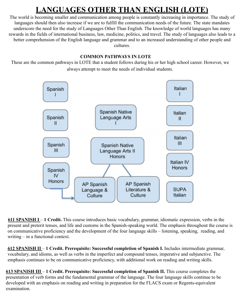## **LANGUAGES OTHER THAN ENGLISH (LOTE)**

The world is becoming smaller and communication among people is constantly increasing in importance. The study of languages should then also increase if we are to fulfill the communication needs of the future. The state mandates underscore the need for the study of Languages Other Than English. The knowledge of world languages has many rewards in the fields of international business, law, medicine, politics, and travel. The study of languages also leads to a better comprehension of the English language and grammar and to an increased understanding of other people and cultures.

#### **COMMON PATHWAYS IN LOTE**

These are the common pathways in LOTE that a student follows during his or her high school career. However, we always attempt to meet the needs of individual students.



**611 SPANISH I** – **1 Credit.** This course introduces basic vocabulary, grammar, idiomatic expression, verbs in the present and preterit tenses, and life and customs in the Spanish-speaking world. The emphasis throughout the course is on communicative proficiency and the development of the four language skills – listening, speaking, reading, and writing – in a functional context.

**612 SPANISH II** – **1 Credit. Prerequisite: Successful completion of Spanish I.** Includes intermediate grammar, vocabulary, and idioms, as well as verbs in the imperfect and compound tenses, imperative and subjunctive. The emphasis continues to be on communicative proficiency, with additional work on reading and writing skills.

**613 SPANISH III** – **1 Credit. Prerequisite: Successful completion of Spanish II.** This course completes the presentation of verb forms and the fundamental grammar of the language. The four language skills continue to be developed with an emphasis on reading and writing in preparation for the FLACS exam or Regents-equivalent examination.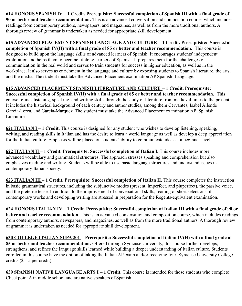**614 HONORS SPANISH IV** – **1 Credit. Prerequisite: Successful completion of Spanish III with a final grade of 90 or better and teacher recommendation.** This is an advanced conversation and composition course, which includes readings from contemporary authors, newspapers, and magazines, as well as from the more traditional authors. A thorough review of grammar is undertaken as needed for appropriate skill development.

**615 ADVANCED PLACEMENT SPANISH LANGUAGE AND CULTURE** – **1 Credit. Prerequisite: Successful completion of Spanish IV(H) with a final grade of 85 or better and teacher recommendation.** This course is designed to build upon the language skills of advanced learners of Spanish. It encourages students' independent exploration and helps them to become lifelong learners of Spanish. It prepares them for the challenges of communication in the real world and serves to train students for success in higher education, as well as in the workplace. It also serves as enrichment in the language and culture by exposing students to Spanish literature, the arts, and the media. The student must take the Advanced Placement examination AP Spanish Language.

#### **615 ADVANCED PLACEMENT SPANISH LITERATURE AND CULTURE** – **1 Credit. Prerequisite:**

**Successful completion of Spanish IV(H) with a final grade of 85 or better and teacher recommendation.** This course refines listening, speaking, and writing skills through the study of literature from medieval times to the present. It includes the historical background of each century and author studies, among them Cervantes, Isabel Allende Garcia-Lorca, and Garcia-Marquez. The student must take the Advanced Placement examination AP Spanish Literature.

**621 ITALIAN I** – **1 Credit.** This course is designed for any student who wishes to develop listening, speaking, writing, and reading skills in Italian and has the desire to learn a world language as well as develop a deep appreciation for the Italian culture. Emphasis will be placed on students' ability to communicate ideas at a beginner level.

**622 ITALIAN II** – **1 Credit. Prerequisite: Successful completion of Italian I.** This course includes more advanced vocabulary and grammatical structures. The approach stresses speaking and comprehension but also emphasizes reading and writing. Students will be able to use basic language structures and understand issues in contemporary Italian society.

**623 ITALIAN III** – **1 Credit. Prerequisite: Successful completion of Italian II.** This course completes the instruction in basic grammatical structures, including the subjunctive modes (present, imperfect, and pluperfect), the passive voice, and the preterite tense. In addition to the improvement of conversational skills, reading of short selections of contemporary works and developing writing are stressed in preparation for the Regents-equivalent examination.

**624 HONORS ITALIAN IV** – **1 Credit. Prerequisite: Successful completion of Italian III with a final grade of 90 or better and teacher recommendation**. This is an advanced conversation and composition course, which includes readings from contemporary authors, newspapers, and magazines, as well as from the more traditional authors. A thorough review of grammar is undertaken as needed for appropriate skill development.

**630 COLLEGE ITALIAN SUPA 201** – **Prerequisite: Successful completion of Italian IV(H) with a final grade of 85 or better and teacher recommendation.** Offered through Syracuse University, this course further develops, strengthens, and refines the language skills learned while building a deeper understanding of Italian culture. Students enrolled in this course have the option of taking the Italian AP exam and/or receiving four Syracuse University College credits (\$115 per credit).

**639 SPANISH NATIVE LANGUAGE ARTS I** – **1 Credit.** This course is intended for those students who complete Checkpoint A in middle school and are native speakers of Spanish.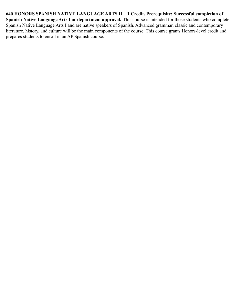**640 HONORS SPANISH NATIVE LANGUAGE ARTS II** – **1 Credit. Prerequisite: Successful completion of Spanish Native Language Arts I or department approval.** This course is intended for those students who complete Spanish Native Language Arts I and are native speakers of Spanish. Advanced grammar, classic and contemporary literature, history, and culture will be the main components of the course. This course grants Honors-level credit and prepares students to enroll in an AP Spanish course.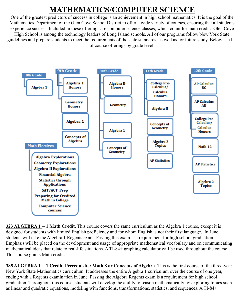## **MATHEMATICS/COMPUTER SCIENCE**

One of the greatest predictors of success in college is an achievement in high school mathematics. It is the goal of the Mathematics Department of the Glen Cove School District to offer a wide variety of courses, ensuring that all students experience success. Included in these offerings are computer science classes, which count for math credit. Glen Cove High School is among the technology leaders of Long Island schools. All of our programs follow New York State guidelines and prepare students to meet the requirements of the state standards, as well as for future study. Below is a list of course offerings by grade level.



**323 ALGEBRA 1** – **1 Math Credit.** This course covers the same curriculum as the Algebra 1 course, except it is designed for students with limited English proficiency and for whom English is not their first language. In June, students will take the Algebra 1 Regents exam. Passing this exam is a requirement for high school graduation. Emphasis will be placed on the development and usage of appropriate mathematical vocabulary and on communicating mathematical ideas that relate to real-life situations. A TI-84+ graphing calculator will be used throughout the course. This course grants Math credit.

**385 ALGEBRA 1** – **1 Credit**. **Prerequisite: Math 8 or Concepts of Algebra**. This is the first course of the three-year New York State Mathematics curriculum. It addresses the entire Algebra 1 curriculum over the course of one year, ending with a Regents examination in June. Passing the Algebra Regents exam is a requirement for high school graduation. Throughout this course, students will develop the ability to reason mathematically by exploring topics such as linear and quadratic equations, modeling with functions, transformations, statistics, and sequences. A TI-84+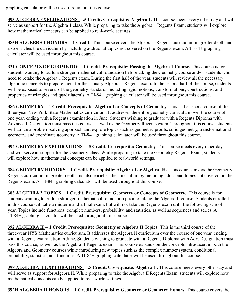graphing calculator will be used throughout this course.

**393 ALGEBRA EXPLORATIONS** – **.5 Credit. Co-requisite: Algebra 1.** This course meets every other day and will serve as support for the Algebra 1 class. While preparing to take the Algebra 1 Regents Exam, students will explore how mathematical concepts can be applied to real-world settings.

**385H ALGEBRA I HONORS** – **1 Credit.** This course covers the Algebra 1 Regents curriculum in greater depth and also enriches the curriculum by including additional topics not covered on the Regents exam. A TI-84+ graphing calculator will be used throughout this course.

**331 CONCEPTS OF GEOMETRY** – **1 Credit. Prerequisite: Passing the Algebra 1 Course.** This course is for students wanting to build a stronger mathematical foundation before taking the Geometry course and/or students who need to retake the Algebra 1 Regents exam. During the first half of the year, students will review all the necessary algebraic concepts to prepare them for the January Algebra 1 Regents exam. In the second half of the course, students will be exposed to several of the geometry standards including rigid motions, transformations, constructions, and properties of triangles and quadrilaterals. A TI-84+ graphing calculator will be used throughout this course.

**386 GEOMETRY** – **1 Credit. Prerequisite: Algebra I or Concepts of Geometry.** This is the second course of the three-year New York State Mathematics curriculum. It addresses the entire geometry curriculum over the course of one year, ending with a Regents examination in June. Students wishing to graduate with a Regents Diploma with Advanced Designation must pass this course, as well as the Geometry Regents exam. Throughout this course, students will utilize a problem-solving approach and explore topics such as geometric proofs, solid geometry, transformational geometry, and coordinate geometry. A TI-84+ graphing calculator will be used throughout this course.

**394 GEOMETRY EXPLORATIONS** – **.5 Credit. Co-requisite: Geometry.** This course meets every other day and will serve as support for the Geometry class. While preparing to take the Geometry Regents Exam, students will explore how mathematical concepts can be applied to real-world settings.

**384 GEOMETRY HONORS** – **1 Credit. Prerequisite: Algebra I or Algebra IH.** This course covers the Geometry Regents curriculum in greater depth and also enriches the curriculum by including additional topics not covered on the Regents exam. A TI-84+ graphing calculator will be used throughout this course.

**383 ALGEBRA 2 TOPICS** – **1 Credit. Prerequisite: Geometry or Concepts of Geometry.** This course is for students wanting to build a stronger mathematical foundation prior to taking the Algebra II course. Students enrolled in this course will take a midterm and a final exam, but will not take the Regents exam until the following school year. Topics include functions, complex numbers, probability, and statistics, as well as sequences and series. A TI-84+ graphing calculator will be used throughout this course.

**392 ALGEBRA II** – **1 Credit. Prerequisite: Geometry or Algebra II Topics.** This is the third course of the three-year NYS Mathematics curriculum. It addresses the Algebra II curriculum over the course of one year, ending with a Regents examination in June. Students wishing to graduate with a Regents Diploma with Adv. Designation must pass this course, as well as the Algebra II Regents exam. This course expands on the concepts introduced in both the Algebra and Geometry courses while introducing new topics such as the complex number system, conditional probability, statistics, and functions. A TI-84+ graphing calculator will be used throughout this course.

**398 ALGEBRA II EXPLORATIONS** – **.5 Credit. Co-requisite: Algebra II.** This course meets every other day and will serve as support for Algebra II. While preparing to take the Algebra II Regents Exam, students will explore how mathematical concepts can be applied to real-world settings.

**392H ALGEBRA II HONORS** – **1 Credit. Prerequisite: Geometry or Geometry Honors.** This course covers the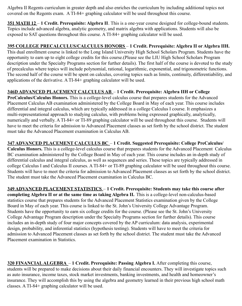Algebra II Regents curriculum in greater depth and also enriches the curriculum by including additional topics not covered on the Regents exam. A TI-84+ graphing calculator will be used throughout this course.

**351 MATH 12** – **1 Credit. Prerequisite: Algebra II**. This is a one-year course designed for college-bound students. Topics include advanced algebra, analytic geometry, and matrix algebra with applications. Students will also be exposed to SAT questions throughout this course. A TI-84+ graphing calculator will be used.

**395 COLLEGE PRECALCULUS/CALCULUS HONORS** – **1 Credit. Prerequisite: Algebra II or Algebra IIH.** This dual enrollment course is linked to the Long Island University High School Scholars Program. Students have the opportunity to earn up to eight college credits for this course.(Please see the LIU High School Scholars Program description under the Specialty Programs section for further details). The first half of the course is devoted to the study of precalculus where topics will include polynomial, rational, logarithmic, exponential, and trigonometric functions. The second half of the course will be spent on calculus, covering topics such as limits, continuity, differentiability, and applications of the derivative. A TI-84+ graphing calculator will be used.

#### **346D ADVANCED PLACEMENT CALCULUS AB** – **1 Credit. Prerequisite: Algebra IIH or College**

**PreCalculus/Calculus Honors.** This is a college-level calculus course that prepares students for the Advanced Placement Calculus AB examination administered by the College Board in May of each year. This course includes differential and integral calculus, which are typically addressed in a college Calculus I course. It emphasizes a multi-representational approach to studying calculus, with problems being expressed graphically, analytically, numerically and verbally. A TI-84+ or TI-89 graphing calculator will be used throughout this course. Students will have to meet the criteria for admission to Advanced Placement classes as set forth by the school district. The student must take the Advanced Placement examination in Calculus AB.

#### **347 ADVANCED PLACEMENT CALCULUS BC** – **1 Credit. Suggested Prerequisite: College PreCalculus/**

**Calculus Honors.** This is a college-level calculus course that prepares students for the Advanced Placement Calculus BC examination administered by the College Board in May of each year. This course includes an in-depth study of differential calculus and integral calculus, as well as sequences and series. These topics are typically addressed in college Calculus I and Calculus II courses. A TI-84+ or TI-89 graphing calculator will be used throughout this course. Students will have to meet the criteria for admission to Advanced Placement classes as set forth by the school district. The student must take the Advanced Placement examination in Calculus BC.

**349 ADVANCED PLACEMENT STATISTICS** – **1 Credit. Prerequisite: Students may take this course after completing Algebra II or at the same time as taking Algebra II.** This is a college-level non-calculus-based statistics course that prepares students for the Advanced Placement Statistics examination given by the College Board in May of each year. This course is linked to the St. John's University College Advantage Program. Students have the opportunity to earn six college credits for the course. (Please see the St. John's University College Advantage Program description under the Specialty Programs section for further details). This course includes an in-depth study of four major concepts covered by the AP curriculum: data analysis, experimental design, probability, and inferential statistics (hypothesis testing). Students will have to meet the criteria for admission to Advanced Placement classes as set forth by the school district. The student must take the Advanced Placement examination in Statistics.

**320 FINANCIALALGEBRA** – **1 Credit. Prerequisite: Passing Algebra I.** After completing this course, students will be prepared to make decisions about their daily financial encounters. They will investigate topics such as auto insurance, income taxes, stock market investments, banking investments, and health and homeowner's insurance. They will accomplish this by using the algebra and geometry learned in their previous high school math classes. A TI-84+ graphing calculator will be used.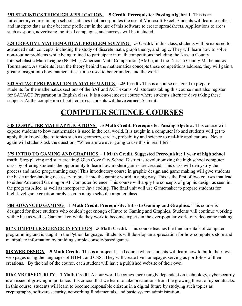**391 STATISTICS THROUGH APPLICATION** – **.5 Credit. Prerequisite: Passing Algebra I.** This is an introductory course in high school statistics that incorporates the use of Microsoft Excel. Students will learn to collect and interpret data as they become proficient in the use of this software to create spreadsheets. Applications to areas such as sports, advertising, political campaigns, and surveys will be included.

**324 CREATIVE MATHEMATICAL PROBLEM SOLVING** – **.5 Credit.** In this class, students will be exposed to advanced math concepts, including the study of discrete math, graph theory, and logic. They will learn how to solve non-routine problems while being trained to participate in math competitions including the Nassau County Interscholastic Math League (NCIML), American Math Competition (AMC), and the Nassau County Mathematics Tournament. As students learn the theory behind the mathematics concepts these competitions address, they will gain a greater insight into how mathematics can be used to better understand the world.

**342 SAT/ACT PREPARATION IN MATHEMATICS** – **.25 Credit.** This is a course designed to prepare students for the mathematics sections of the SAT and ACT exams. All students taking this course must also register for SAT/ACT Preparation in English class. It is a one-semester course where students alternate days taking these subjects. At the completion of both courses, students will have earned .5 credit.

### **COMPUTER SCIENCE COURSES**

**348 COMPUTER MATH APPLICATIONS** – **.5 Math Credit. Prerequisite: Passing Algebra.** This course will expose students to how mathematics is used in the real world. It is taught in a computer lab and students will get to apply their knowledge of topics such as geometry, circles, probability and science to real-life applications. Never again will students ask the question, "When are we ever going to use this in real life?"

#### **379 INTRO TO GAMING AND GRAPHICS** – **1 Math Credit. Suggested Prerequisite: 1 year of high school**

**math.** Stop playing and start creating! Glen Cove City School District is revolutionizing the high school computer class by offering students the opportunity to learn how modern games are created. This class will demystify the process and make programming easy! This introductory course in graphic design and game making will give students the basic understanding necessary to break into the gaming world in a big way. This is the first of two courses that lead to either Advanced Gaming or AP Computer Science. This course will apply the concepts of graphic design as seen in the program Alice, as well as incorporate Java coding. The final unit will use Gamemaker to prepare students for high-level game creation rarely seen in a high school computer class.

**804 ADVANCED GAMING** – **1 Math Credit. Prerequisite: Intro to Gaming and Graphics.** This course is designed for those students who couldn't get enough of Intro to Gaming and Graphics. Students will continue working with Alice as well as Gamemaker, while they work to become experts in the ever-popular world of video game making.

**817 COMPUTER SCIENCE IN PYTHON** - **.5 Math Credit.** This course teaches the fundamentals of computer programming and is taught in the Python language. Students will develop an appreciation for how computers store and manipulate information by building simple console-based games.

**818 WEB DESIGN** - **.5 Math Credit.** This is a project-based course where students will learn how to build their own web pages using the languages of HTML and CSS. They will create live homepages serving as portfolios of their creations. By the end of the course, each student will have a published website of their own.

**816 CYBERSECURITY** – **1 Math Credit**. As our world becomes increasingly dependent on technology, cybersecurity is an issue of growing importance. It is crucial that we learn to take precautions from the growing threat of cyber attacks. In this course, students will learn to become responsible citizens in a digital future by studying such topics as cryptography, software security, networking fundamentals, and basic system administration.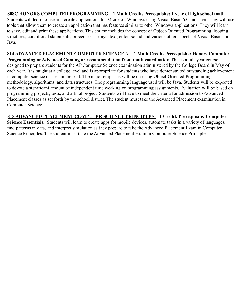#### **808C HONORS COMPUTER PROGRAMMING** – **1 Math Credit. Prerequisite: 1 year of high school math.**

Students will learn to use and create applications for Microsoft Windows using Visual Basic 6.0 and Java. They will use tools that allow them to create an application that has features similar to other Windows applications. They will learn to save, edit and print these applications. This course includes the concept of Object-Oriented Programming, looping structures, conditional statements, procedures, arrays, text, color, sound and various other aspects of Visual Basic and Java.

#### **814 ADVANCED PLACEMENT COMPUTER SCIENCE A** – **1 Math Credit. Prerequisite: Honors Computer**

**Programming or Advanced Gaming or recommendation from math coordinator.** This is a full-year course designed to prepare students for the AP Computer Science examination administered by the College Board in May of each year. It is taught at a college level and is appropriate for students who have demonstrated outstanding achievement in computer science classes in the past. The major emphasis will be on using Object-Oriented Programming methodology, algorithms, and data structures. The programming language used will be Java. Students will be expected to devote a significant amount of independent time working on programming assignments. Evaluation will be based on programming projects, tests, and a final project. Students will have to meet the criteria for admission to Advanced Placement classes as set forth by the school district. The student must take the Advanced Placement examination in Computer Science.

#### **815 ADVANCED PLACEMENT COMPUTER SCIENCE PRINCIPLES** – **1 Credit. Prerequisite: Computer**

**Science Essentials.** Students will learn to create apps for mobile devices, automate tasks in a variety of languages, find patterns in data, and interpret simulation as they prepare to take the Advanced Placement Exam in Computer Science Principles. The student must take the Advanced Placement Exam in Computer Science Principles.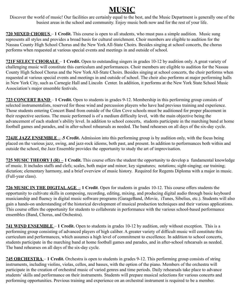### **MUSIC**

Discover the world of music! Our facilities are certainly equal to the best, and the Music Department is generally one of the busiest areas in the school and community. Enjoy music both now and for the rest of your life.

**720 MIXED CHORUS** – **1 Credit.** This course is open to all students, who must pass a simple audition. Music sung represents all styles and provides a broad basis for cultural enrichment. Choir members are eligible to audition for the Nassau County High School Chorus and the New York All-State Choirs. Besides singing at school concerts, the chorus performs when requested at various special events and meetings in and outside of school.

**721F SELECT CHORALE** – **1 Credit.** Open to outstanding singers in grades 10-12 by audition only. A great variety of challenging music will constitute this curriculum and performances. Choir members are eligible to audition for the Nassau County High School Chorus and the New York All-State Choirs. Besides singing at school concerts, the choir performs when requested at various special events and meetings in and outside of school. The choir also performs at major performing halls in New York City, such as Carnegie Hall and Lincoln Center. In addition, it performs at the New York State School Music Association's major ensemble festivals.

**723 CONCERT BAND** – **1 Credit.** Open to students in grades 9-12. Membership in this performing group consists of selected instrumentalists, reserved for those wind and percussion players who have had previous training and experience. Those students entering Concert Band from outside of the Glen Cove schools must be auditioned for proper placement in their respective sections. The music performed is of a medium difficulty level, with the main objective being the advancement of each student's ability level. In addition to school concerts, students participate in the marching band at home football games and parades, and in after-school rehearsals as needed. The band rehearses on all days of the six-day cycle.

**724JE JAZZ ENSEMBLE** – **.5 Credit.** Admission into this performing group is by audition only, with the focus being placed on the various jazz, swing, and jazz-rock idioms, both past, and present. In addition to performances both within and outside the school, the Jazz Ensemble provides the opportunity to study the art of improvisation.

**725 MUSIC THEORY I (R)** – **1 Credit.** This course offers the student the opportunity to develop a fundamental knowledge of music. It includes staffs and clefs; scales, both major and minor; key signatures; notations; sight-singing; ear training; dictation; elementary harmony, and a brief overview of music history. Required for Regents Diploma with a major in music. (Full-year class).

**726 MUSIC IN THE DIGITALAGE** – **1 Credit**. Open for students in grades 10-12. This course offers students the opportunity to cultivate skills in composing, recording, editing, mixing, and producing digital audio through basic keyboard musicianship and fluency in digital music software programs (GarageBand, iMovie, iTunes, Sibelius, etc.). Students will also gain a hands-on understanding of the historical development of musical production techniques and their various applications. This course offers the opportunity for students to collaborate in performance with the various school-based performance ensembles (Band, Chorus, and Orchestra).

**741 WIND ENSEMBLE** – **1 Credit.** Open to students in grades 10-12 by audition, only without exception. This is a performing group consisting of advanced players of high caliber. A greater variety of difficult music will constitute this curriculum and performances, which assumes a high level of commitment to excellence. In addition to school concerts, students participate in the marching band at home football games and parades, and in after-school rehearsals as needed. The band rehearses on all days of the six-day cycle.

**745 ORCHESTRA** – **1 Credit.** Orchestra is open to students in grades 9-12. This performing group consists of string instruments, including violins, violas, cellos, and basses, with the option of the piano. Members of the orchestra will participate in the creation of orchestral music of varied genres and time periods. Daily rehearsals take place to advance students'skills and performance on their instruments. Students will prepare musical selections for various concerts and performing opportunities. Previous training and experience on an orchestral instrument is required to be a member.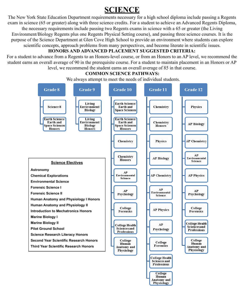### **SCIENCE**

The New York State Education Department requirements necessary for a high school diploma include passing a Regents exam in science (65 or greater) along with three science credits. For a student to achieve an Advanced Regents Diploma, the necessary requirements include passing two Regents exams in science with a 65 or greater (the Living Environment/Biology Regents plus one Regents Physical Setting course), and passing three science courses. It is the purpose of the Science Department at Glen Cove High School to provide an environment where students can explore scientific concepts, approach problems from many perspectives, and become literate in scientific issues.

#### **HONORS AND ADVANCED PLACEMENT SUGGESTED CRITERIA:**

For a student to advance from a Regents to an Honors-level course, or from an Honors to an AP level, we recommend the student earns an overall average of 90 in the prerequisite course. For a student to maintain placement in an Honors or AP level, we recommend the student earns an overall average of 85 in that course.

#### **COMMON SCIENCE PATHWAYS:**

We always attempt to meet the needs of individual students.

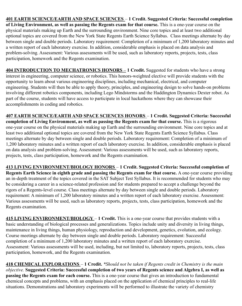**401 EARTH SCIENCE/EARTH AND SPACE SCIENCES** – **1 Credit. Suggested Criteria: Successful completion of Living Environment, as well as passing the Regents exam for that course.** This is a one-year course on the physical materials making up Earth and the surrounding environment. Nine core topics and at least two additional optional topics are covered from the New York State Regents Earth Science Syllabus. Class meetings alternate by day between single and double periods. Laboratory requirement: Completion of a minimum of 1,200 laboratory minutes and a written report of each laboratory exercise. In addition, considerable emphasis is placed on data analysis and problem-solving. Assessment: Various assessments will be used, such as laboratory reports, projects, tests, class participation, homework and the Regents examination.

**404 INTRODUCTION TO MECHATRONICS HONORS** – **1 Credit.** Suggested for students who have a strong interest in engineering, computer science, or robotics. This honors-weighted elective will provide students with the opportunity to learn about various engineering disciplines, including mechanical, electrical, and computer engineering. Students will then be able to apply theory, principles, and engineering design to solve hands-on problems involving different robotics components, including Lego Mindstorms and the Haddington Dynamics Dexter robot. As part of the course, students will have access to participate in local hackathons where they can showcase their accomplishments in coding and robotics.

**407 EARTH SCIENCE/EARTH AND SPACE SCIENCES HONORS** – **1 Credit. Suggested Criteria: Successful completion of Living Environment, as well as passing the Regents exam for that course.** This is a rigorous one-year course on the physical materials making up Earth and the surrounding environment. Nine core topics and at least two additional optional topics are covered from the New York State Regents Earth Science Syllabus. Class meetings alternate by day between single and double periods. Laboratory requirement: Completion of a minimum of 1,200 laboratory minutes and a written report of each laboratory exercise. In addition, considerable emphasis is placed on data analysis and problem-solving. Assessment: Various assessments will be used, such as laboratory reports, projects, tests, class participation, homework and the Regents examination.

**413 LIVING ENVIRONMENT/BIOLOGY HONORS** – **1 Credit. Suggested Criteria: Successful completion of Regents Earth Science in eighth grade and passing the Regents exam for that course.** A one-year course providing an in-depth treatment of the topics covered in the SAT Subject Test Syllabus. It is recommended for students who may be considering a career in a science-related profession and for students prepared to accept a challenge beyond the rigors of a Regents-level course. Class meetings alternate by day between single and double periods. Laboratory requirement: A minimum of 1,200 laboratory minutes and a written report of each laboratory exercise. Assessment: Various assessments will be used, such as laboratory reports, projects, tests, class participation, homework and the Regents examination.

**415 LIVING ENVIRONMENT/BIOLOGY** – **1 Credit.** This is a one-year course that provides students with a basic understanding of biological processes and generalizations. Topics include unity and diversity in living things, maintenance in living things, human physiology, reproduction and development, genetics, evolution, and ecology. Course meetings alternate by day between single and double periods. Laboratory requirement: Successful completion of a minimum of 1,200 laboratory minutes and a written report of each laboratory exercise. Assessment: Various assessments will be used, including, but not limited to, laboratory reports, projects, tests, class participation, homework, and the Regents examination.

**418 CHEMICAL EXPLORATIONS** – **1 Credit.** *\*Should not be taken if Regents credit in Chemistry is the main objective.* **Suggested Criteria: Successful completion of two years of Regents science and Algebra I, as well as passing the Regents exam for each course.** This is a one-year course that gives an introduction to fundamental chemical concepts and problems, with an emphasis placed on the application of chemical principles to real-life situations. Demonstrations and laboratory experiments will be performed to illustrate the variety of chemistry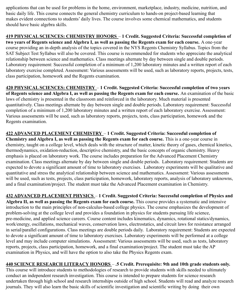applications that can be used for problems in the home, environment, marketplace, industry, medicine, nutrition, and basic daily life. This course connects the general chemistry curriculum to hands-on project-based learning that makes evident connections to students' daily lives. The course involves some chemical mathematics, and students should have basic algebra skills.

**419 PHYSICAL SCIENCES: CHEMISTRY HONORS** – **1 Credit. Suggested Criteria: Successful completion of two years of Regents science and Algebra I, as well as passing the Regents exam for each course.** A one-year course providing an in-depth analysis of the topics covered in the NYS Regents Chemistry Syllabus. Topics from the SAT Subject Test Syllabus will also be covered. This course is recommended for students who appreciate the analytical relationship between science and mathematics. Class meetings alternate by day between single and double periods. Laboratory requirement: Successful completion of a minimum of 1,200 laboratory minutes and a written report of each laboratory exercise completed. Assessment: Various assessments will be used, such as laboratory reports, projects, tests, class participation, homework and the Regents examination.

**420 PHYSICAL SCIENCES: CHEMISTRY** – **1 Credit. Suggested Criteria: Successful completion of two years of Regents science and Algebra I, as well as passing the Regents exam for each course.** An examination of the basic laws of chemistry is presented in the classroom and reinforced in the laboratory. Much material is presented quantitatively. Class meetings alternate by day between single and double periods. Laboratory requirement: Successful completion of a minimum of 1,200 laboratory minutes and a written report of each laboratory exercise. Assessment: Various assessments will be used, such as laboratory reports, projects, tests, class participation, homework and the Regents examination.

**422 ADVANCED PLACEMENT CHEMISTRY** – **1 Credit. Suggested Criteria: Successful completion of Chemistry and Algebra I, as well as passing the Regents exam for each course.** This is a one-year course in chemistry, taught on a college level, which deals with the structure of matter, kinetic theory of gases, chemical kinetics, thermodynamics, oxidation-reduction, descriptive chemistry, and the basic concepts of organic chemistry. Heavy emphasis is placed on laboratory work. The course includes preparation for the Advanced Placement Chemistry examination. Class meetings alternate by day between single and double periods. Laboratory requirement: Students are expected to devote a significant amount of time to laboratory exercises. Laboratory experiments will be qualitative and quantitative and stress the analytical relationship between science and mathematics. Assessment: Various assessments will be used, such as tests, projects, class participation, homework, laboratory reports, analysis of laboratory unknowns, and a final examination/project. The student must take the Advanced Placement examination in Chemistry.

**432 ADVANCED PLACEMENT PHYSICS** – **1 Credit. Suggested Criteria: Successful completion of Physics and Algebra II, as well as passing the Regents exam for each course.** This course provides a systematic and intensive introduction to the main principles of non-calculus-based college physics. The course emphasizes the development of problem-solving at the college level and provides a foundation in physics for students pursuing life science, pre-medicine, and applied science careers. Course content includes kinematics, dynamics, rotational statics/dynamics, work/energy, oscillations, mechanical waves, conservation laws, electrostatics, and circuit laws for resistance arranged in serial/parallel configurations. Class meetings are double periods daily. Laboratory requirement: Students are expected to devote a significant amount of time to laboratory exercises. Laboratory experiments will be performed at a college level and may include computer simulations. Assessment: Various assessments will be used, such as tests, laboratory reports, projects, class participation, homework, and a final examination/project. The student must take the AP examination in Physics, and will have the option to also take the Physics Regents exam.

**440 SCIENCE RESEARCH LITERACY HONORS** – **.5 Credit. Prerequisite: 9th and 10th grade students only.** This course will introduce students to methodologies of research to provide students with skills needed to ultimately

conduct an independent research investigation. This course is intended to prepare students for science research undertaken through high school and research internships outside of high school. Students will read and analyze research journals. They will also learn the basic skills of scientific investigation and scientific writing by doing their own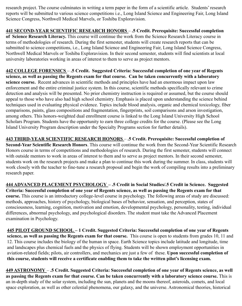research project. The course culminates in writing a term paper in the form of a scientific article. Students' research reports will be submitted to various science competitions i.e., Long Island Science and Engineering Fair, Long Island Science Congress, Northwell Medical Marvels, or Toshiba Exploravision.

**441 SECOND-YEAR SCIENTIFIC RESEARCH HONORS** – **.5 Credit. Prerequisite: Successful completion of Science Research Literacy.** This course will continue the work from the Science Research Literacy course in terms of methodologies of research. During the first semester, students will create research reports that can be submitted to science competitions, i.e., Long Island Science and Engineering Fair, Long Island Science Congress, Northwell Medical Marvels or Toshiba Exploravision. In their second semester, students will find scientists at local university laboratories working in areas of interest to them to serve as project mentors.

**442 COLLEGE FORENSICS** – **.5 Credit. Suggested Criteria: Successful completion of one year of Regents science, as well as passing the Regents exam for that course. Can be taken concurrently with a laboratory science course.** Recent advances in scientific methods and principles have had an enormous impact upon law enforcement and the entire criminal justice system. In this course, scientific methods specifically relevant to crime detection and analysis will be presented. No prior chemistry instruction is required or assumed, but the course should appeal to those who have also had high school chemistry. Emphasis is placed upon understanding the science behind techniques used in evaluating physical evidence. Topics include blood analysis, organic and chemical toxicology, fiber comparisons, paints, glass compositions and fragmentation, fingerprints, soil comparisons and arson investigation, among others. This honors-weighted dual enrollment course is linked to the Long Island University High School Scholars Program. Students have the opportunity to earn three college credits for the course. (Please see the Long Island University Program description under the Specialty Programs section for further details).

**443 THIRD-YEAR SCIENTIFIC RESEARCH HONORS** – **.5 Credit. Prerequisite: Successful completion of Second-Year Scientific Research Honors**. This course will continue the work from the Second-Year Scientific Research Honors course in terms of competitions and methodologies of research. During the first semester, students will connect with outside mentors to work in areas of interest to them and to serve as project mentors. In their second semester, students work on the research projects and make a plan to continue this work during the summer. In class, students will work closely with the teacher to fine-tune a research proposal and begin the work of compiling results into a preliminary research paper.

**444 ADVANCED PLACEMENT PSYCHOLOGY – .5 Credit in Social Studies/.5 Credit in Science. Suggested Criteria: Successful completion of one year of Regents science, as well as passing the Regents exam for that course.** This course is an introductory college-level course in psychology. The following areas of study are discussed: methods, approaches, history of psychology, biological bases of behavior, sensation, and perception, states of consciousness, learning, cognition, motivation and emotion, developmental psychology, personality, testing, individual differences, abnormal psychology, and psychological disorders. The student must take the Advanced Placement examination in Psychology.

**445 PILOT GROUND SCHOOL – 1 Credit. Suggested Criteria: Successful completion of one year of Regents science, as well as passing the Regents exam for that course.** This course is open to students from grades 10, 11 and 12. This course includes the biology of the human in space. Earth Science topics include latitude and longitude, time and landscapes plus chemical fuels and the physics of flying. Students will be shown employment opportunities in aviation-related fields; pilots, air controllers, and mechanics are just a few of these. **Upon successful completion of this course, students will receive a certificate enabling them to take the written pilot's licensing exam.**

**449 ASTRONOMY** – **.5 Credit. Suggested Criteria: Successful completion of one year of Regents science, as well as passing the Regents exam for that course. Can be taken concurrently with a laboratory science course.** This is an in-depth study of the solar system, including the sun, planets and the moons thereof, asteroids, comets, and local space exploration, as well as other celestial phenomena, our galaxy, and the universe. Astronomical theories, historical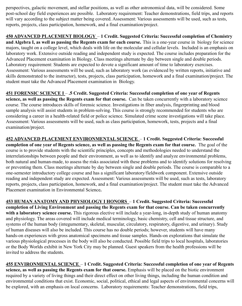perspectives, galactic movement, and stellar positions, as well as other astronomical data, will be considered. Some post-school day field experiences are possible. Laboratory requirement: Teacher demonstrations, field trips, and reports will vary according to the subject matter being covered. Assessment: Various assessments will be used, such as tests, reports, projects, class participation, homework, and a final examination/project.

**450 ADVANCED PLACEMENT BIOLOGY** – **1 Credit. Suggested Criteria: Successful completion of Chemistry and Algebra I, as well as passing the Regents exam for each course.** This is a one-year course in biology for science majors, taught on a college level, which deals with life on the molecular and cellular levels. Included is an emphasis on laboratory work. Extensive outside reading and independent study is expected. The course includes preparation for the Advanced Placement examination in Biology. Class meetings alternate by day between single and double periods. Laboratory requirement: Students are expected to devote a significant amount of time to laboratory exercises. Assessment: Various assessments will be used, such as laboratory work (as evidenced by written reports, initiative and skills demonstrated to the instructor), tests, projects, class participation, homework and a final examination/project. The student must take the Advanced Placement examination in Biology.

**451 FORENSIC SCIENCE I** – **.5 Credit. Suggested Criteria: Successful completion of one year of Regents science, as well as passing the Regents exam for that course.** Can be taken concurrently with a laboratory science course. The course introduces skills of forensic science. Investigations in fiber analysis, fingerprinting and blood sample analysis will assist students in problem-solving. This course is strongly recommended for students who are considering a career in a health-related field or police science. Simulated crime scene investigations will take place. Assessment: Various assessments will be used, such as class participation, homework, tests, projects and a final examination/project.

**452 ADVANCED PLACEMENT ENVIRONMENTAL SCIENCE** – **1 Credit. Suggested Criteria: Successful completion of one year of Regents science, as well as passing the Regents exam for that course.** The goal of the course is to provide students with the scientific principles, concepts and methodologies needed to understand the interrelationships between people and their environment, as well as to identify and analyze environmental problems, both natural and human-made, to assess the risks associated with these problems and to identify solutions for resolving or preventing them. Class meetings alternate by day between single and double periods. The course is comparable to a one-semester introductory college course and has a significant laboratory/fieldwork component. Extensive outside reading and independent study are expected. Assessment: Various assessments will be used, such as tests, laboratory reports, projects, class participation, homework, and a final examination/project. The student must take the Advanced Placement examination in Environmental Science**.**

**453 HUMAN ANATOMY AND PHYSIOLOGY I HONORS** – **1 Credit. Suggested Criteria: Successful completion of Living Environment and passing the Regents exam for that course. Can be taken concurrently with a laboratory science course.** This rigorous elective will include a year-long, in-depth study of human anatomy and physiology. The areas covered will include medical terminology, basic chemistry, cell and tissue structure, and systems of the human body (integumentary, skeletal, muscular, circulatory, respiratory, digestive, and urinary). Study of human diseases will also be included. This course has no double periods; however, students will have many hands-on experiences with gross anatomical specimens and tissue samples. Hands-on explorations that simulate the various physiological processes in the body will also be conducted. Possible field trips to local hospitals, laboratories or the Body Worlds exhibit in New York City may be planned. Guest speakers from the health professions will be invited to address the students.

**455 ENVIRONMENTAL SCIENCE** – **1 Credit. Suggested Criteria: Successful completion of one year of Regents science, as well as passing the Regents exam for that course.** Emphasis will be placed on the biotic environment required by a variety of living things and their direct effect on other living things, including the human condition and environmental conditions that exist. Economic, social, political, ethical and legal aspects of environmental concerns will be explored, with an emphasis on local concerns. Laboratory requirements: Teacher demonstrations, field trips,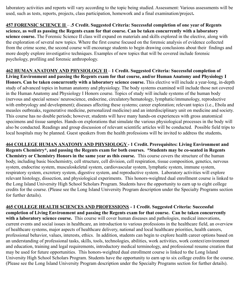laboratory activities and reports will vary according to the topic being studied. Assessment: Various assessments will be used, such as tests, reports, projects, class participation, homework and a final examination/project**.**

**457 FORENSIC SCIENCE II** – **.5 Credit. Suggested Criteria: Successful completion of one year of Regents science, as well as passing the Regents exam for that course. Can be taken concurrently with a laboratory science course.** The Forensic Science II class will expand on materials and skills explored in the elective, along with the exploration of several new topics. Where the first course focused on the forensic analysis of evidence collected from the crime scene, the second course will encourage students to begin drawing conclusions about their findings and more deeply explore investigative techniques. Examples of new topics that will be covered include forensic psychology, profiling and forensic anthropology.

**462 HUMAN ANATOMY AND PHYSIOLOGY II** – **1 Credit. Suggested Criteria: Successful completion of Living Environment and passing the Regents exam for that course, and/or Human Anatomy and Physiology I Honors. Can be taken concurrently with a laboratory science course.** This elective will include a year-long, in-depth study of advanced topics in human anatomy and physiology. The body systems examined will include those not covered in the Human Anatomy and Physiology I Honors course. Topics of study will include systems of the human body (nervous and special senses/ neuroscience, endocrine, circulatory/hematology, lymphatic/immunology, reproductive with embryology and development); diseases affecting these systems; career exploration; relevant topics (i.e., Ebola and measles outbreaks, regenerative medicine, personalized medicine) and an interdisciplinary unit on medicine and society. This course has no double periods; however, students will have many hands-on experiences with gross anatomical specimens and tissue samples. Hands-on explorations that simulate the various physiological processes in the body will also be conducted. Readings and group discussion of relevant scientific articles will be conducted. Possible field trips to local hospitals may be planned. Guest speakers from the health professions will be invited to address the students**.**

**464 COLLEGE HUMAN ANATOMY AND PHYSIOLOGY - 1 Credit. Prerequisites: Living Environment and Regents Chemistry\*, and passing the Regents exam for both courses. \*Students may be co-seated in Regents Chemistry or Chemistry Honors in the same year as this course.** This course covers the structure of the human body, including basic biochemistry, cell structure, cell division, cell respiration, tissue composition, genetics, nervous system, endocrine system, musculoskeletal system, cardiovascular system, lymphatic system, immune system, respiratory system, excretory system, digestive system, and reproductive system. Laboratory activities will explore relevant histology, dissection, and physiological experiments. This honors-weighted dual enrollment course is linked to the Long Island University High School Scholars Program. Students have the opportunity to earn up to eight college credits for the course. (Please see the Long Island University Program description under the Specialty Programs section for further details).

**465 COLLEGE HEALTH SCIENCES AND PROFESSIONS - 1 Credit. Suggested Criteria: Successful completion of Living Environment and passing the Regents exam for that course. Can be taken concurrently with a laboratory science course.** This course will cover human diseases and pathologies, medical innovations, current events and social issues in healthcare, an introduction to various professions in the healthcare field, an overview of healthcare systems, major aspects of healthcare delivery, national and local healthcare priorities, health careers, professional behavior, values, interests, ethics. In addition, students can begin to explore health career options based on an understanding of professional tasks, skills, tools, technologies, abilities, work activities, work context/environment and education, training and legal requirements, introductory medical terminology, and professional resume creation that may be used for future opportunities. This honors-weighted dual enrollment course is linked to the Long Island University High School Scholars Program. Students have the opportunity to earn up to six college credits for the course. (Please see the Long Island University Program description under the Specialty Programs section for further details).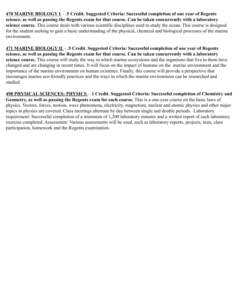**470 MARINE BIOLOGY I** – **.5 Credit. Suggested Criteria: Successful completion of one year of Regents science, as well as passing the Regents exam for that course. Can be taken concurrently with a laboratory science course.** This course deals with various scientific disciplines used to study the ocean. This course is designed for the student seeking to gain a basic understanding of the physical, chemical and biological processes of the marine environment.

**471 MARINE BIOLOGY II** – **.5 Credit. Suggested Criteria: Successful completion of one year of Regents science, as well as passing the Regents exam for that course. Can be taken concurrently with a laboratory science course.** This course will study the way in which marine ecosystems and the organisms that live in them have changed and are changing in recent times. It will focus on the impact of humans on the marine environment and the importance of the marine environment on human existence. Finally, this course will provide a perspective that encourages marine eco-friendly practices and the ways in which the marine environment can be researched and studied.

**498 PHYSICAL SCIENCES: PHYSICS** – **1 Credit. Suggested Criteria: Successful completion of Chemistry and Geometry, as well as passing the Regents exam for each course.** This is a one-year course on the basic laws of physics. Vectors, forces, motion, wave phenomena, electricity, magnetism, nuclear and atomic physics and other major topics in physics are covered. Class meetings alternate by day between single and double periods. Laboratory requirement: Successful completion of a minimum of 1,200 laboratory minutes and a written report of each laboratory exercise completed. Assessment: Various assessments will be used, such as laboratory reports, projects, tests, class participation, homework and the Regents examination.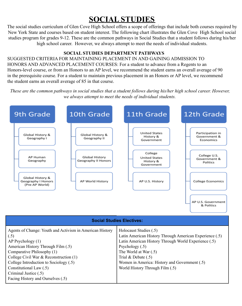### **SOCIAL STUDIES**

The social studies curriculum of Glen Cove High School offers a scope of offerings that include both courses required by New York State and courses based on student interest. The following chart illustrates the Glen Cove High School social studies program for grades 9-12. These are the common pathways in Social Studies that a student follows during his/her high school career. However, we always attempt to meet the needs of individual students.

#### **SOCIAL STUDIES DEPARTMENT PATHWAYS**

SUGGESTED CRITERIA FOR MAINTAINING PLACEMENT IN AND GAINING ADMISSION TO HONORS AND ADVANCED PLACEMENT COURSES: For a student to advance from a Regents to an Honors-level course, or from an Honors to an AP level, we recommend the student earns an overall average of 90 in the prerequisite course. For a student to maintain previous placement in an Honors or AP level, we recommend the student earns an overall average of 85 in that course.

*These are the common pathways in social studies that a student follows during his/her high school career. However, we always attempt to meet the needs of individual students.*



| <b>Social Studies Electives:</b>                                                                                                                                                                                                                                                                                                              |                                                                                                                                                                                                                                                                                                        |
|-----------------------------------------------------------------------------------------------------------------------------------------------------------------------------------------------------------------------------------------------------------------------------------------------------------------------------------------------|--------------------------------------------------------------------------------------------------------------------------------------------------------------------------------------------------------------------------------------------------------------------------------------------------------|
| Agents of Change: Youth and Activism in American History<br>(.5)<br>$AP$ Psychology $(1)$<br>American History Through Film (.5)<br>Comparative Philosophy (1)<br>College Civil War $\&$ Reconstruction (1)<br>College Introduction to Sociology (.5)<br>Constitutional Law (.5)<br>Criminal Justice (.5)<br>Facing History and Ourselves (.5) | Holocaust Studies (.5)<br>Latin American History Through American Experience (.5)<br>Latin American History Through World Experience (.5)<br>Psychology $(.5)$<br>The World at War (.5)<br>Trial $&$ Debate $(.5)$<br>Women in America: History and Government (.5)<br>World History Through Film (.5) |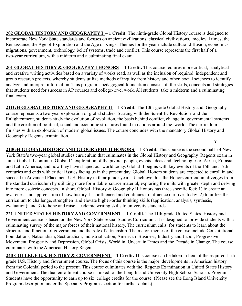**202 GLOBAL HISTORY AND GEOGRAPHY I** – **1 Credit.** The ninth-grade Global History course is designed to incorporate New York State standards and focuses on ancient civilizations, classical civilizations, medieval times, the Renaissance, the Age of Exploration and the Age of Kings. Themes for the year include cultural diffusion, economics, migrations, government, technology, belief systems, trade and conflict. This course represents the first half of a two-year curriculum, with a midterm and a culminating final exam.

**201 GLOBAL HISTORY & GEOGRAPHY I HONORS** – **1 Credit.** This course requires more critical, analytical and creative writing activities based on a variety of works read, as well as the inclusion of required independent and group research projects, whereby students utilize methods of inquiry from history and other social sciences to identify, analyze and interpret information. This program's pedagogical foundation consists of the skills, concepts and strategies that students need for success in AP courses and college-level work. All students take a midterm and a culminating final exam.

**211GH GLOBAL HISTORY AND GEOGRAPHY II** – **1 Credit.** The 10th-grade Global History and Geography course represents a two-year exploration of global studies. Starting with the Scientific Revolution and the Enlightenment, students study the evolution of revolution, the basis behind conflict, change in governmental systems and the creation of political, social and economic structures found in nations around the world. The curriculum finishes with an exploration of modern global issues. The course concludes with the mandatory Global History and Geography Regents examination. **?**

**210GH GLOBAL HISTORY AND GEOGRAPHY II HONORS** – **1 Credit.** This course is the second half of New York State's two-year global studies curriculum that culminates in the Global History and Geography Regents exam in June. Global II continues Global I's exploration of the pivotal people, events, ideas and technologies of Africa, Eurasia and Latin America, and how they have shaped our world today. Global II begins with key events of the 16th and 17th centuries and ends with critical issues facing us in the present day. Global Honors students are expected to enroll in and succeed in Advanced Placement U.S. History in their junior year. To achieve this, the Honors curriculum diverges from the standard curriculum by utilizing more formidable source material, exploring the units with greater depth and delving into more esoteric concepts. In short, Global History & Geography II Honors has three specific foci: 1) to create an awareness and appreciation of how history has influenced and continues to influence our lives today; 2) to utilize the curriculum to challenge, strengthen and elevate higher-order thinking skills (application, analysis, synthesis, evaluation); and 3) to hone and raise academic writing skills to university standards.

**221 UNITED STATES HISTORY AND GOVERNMENT** – **1 Credit.** The 11th-grade United States History and Government course is based on the New York State Social Studies Curriculum. It is designed to provide students with a culminating survey of the major forces of their national history. The curriculum calls for students to learn about the structure and function of government and the role of citizenship. The major themes of the course include Constitutional Foundations, Nationalism, Sectionalism, Industrialization, American Business, Industry and Labor, Progressive Movement, Prosperity and Depression, Global Crisis, World in Uncertain Times and the Decade in Change. The course culminates with the American History Regents.

**240 COLLEGE U.S. HISTORY & GOVERNMENT** – **1 Credit.** This course can be taken in lieu of the required 11th grade U.S. History and Government course. The focus of this course is the major developments in American history from the Colonial period to the present. This course culminates with the Regents Examination in United States History and Government. The dual enrollment course is linked to the Long Island University High School Scholars Program. Students have the opportunity to earn up to six college credits for the course. (Please see the Long Island University Program description under the Specialty Programs section for further details).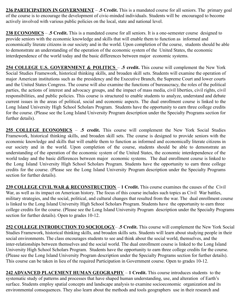**236 PARTICIPATION IN GOVERNMENT** – **.5 Credit.** This is a mandated course for all seniors. The primary goal of the course is to encourage the development of civic-minded individuals. Students will be encouraged to become actively involved with various public policies on the local, state and national level.

**238 ECONOMICS** – **.5 Credit.** This is a mandated course for all seniors. It is a one-semester course designed to provide seniors with the economic knowledge and skills that will enable them to function as informed and economically literate citizens in our society and in the world. Upon completion of the course, students should be able to demonstrate an understanding of the operation of the economic system of the United States, the economic interdependence of the world today and the basic differences between major economic systems.

**254 COLLEGE U.S. GOVERNMENT & POLITICS** – **.5 credit.** This course will complement the New York Social Studies Framework, historical thinking skills, and broaden skill sets. Students will examine the operation of major American institutions such as the presidency and the Executive Branch, the Supreme Court and lower courts and the United States Congress. The course will also examine the functions of bureaucracy, the roles of the political parties, the actions of interest and advocacy groups, and the impact of mass media, civil liberties, civil rights, civil responsibilities, and public policies. This course is structured to enable students to analyze, understand and debate current issues in the areas of political, social and economic aspects. The dual enrollment course is linked to the Long Island University High School Scholars Program. Students have the opportunity to earn three college credits for the course. (Please see the Long Island University Program description under the Specialty Programs section for further details).

**255 COLLEGE ECONOMICS** – **.5 credit.** This course will complement the New York Social Studies Framework, historical thinking skills, and broaden skill sets. The course is designed to provide seniors with the economic knowledge and skills that will enable them to function as informed and economically literate citizens in our society and in the world. Upon completion of the course, students should be able to demonstrate an understanding of the operation of the economic system of the United States, the economic interdependence of the world today and the basic differences between major economic systems. The dual enrollment course is linked to the Long Island University High School Scholars Program. Students have the opportunity to earn three college credits for the course. (Please see the Long Island University Program description under the Specialty Programs section for further details).

**239 COLLEGE CIVIL WAR & RECONSTRUCTION** – **1 Credit.** This course examines the causes of the Civil War, as well as its impact on American history. The focus of this course includes such topics as Civil War battles, military strategies, and the social, political, and cultural changes that resulted from the war. The dual enrollment course is linked to the Long Island University High School Scholars Program. Students have the opportunity to earn three college credits for the course. (Please see the Long Island University Program description under the Specialty Programs section for further details). Open to grades 10-12.

**252 COLLEGE INTRODUCTION TO SOCIOLOGY**– **.5 Credit.** This course will complement the New York Social Studies Framework, historical thinking skills, and broaden skills sets. Students will learn about studying people in their social environments. The class encourages students to see and think about the social world, themselves, and the inter-relationships between themselves and the social world. The dual enrollment course is linked to the Long Island University High School Scholars Program. Students have the opportunity to earn three college credits for the course. (Please see the Long Island University Program description under the Specialty Programs section for further details). This course can be taken in lieu of the required Participation in Government course. Open to grades 10-12.

**242 ADVANCED PLACEMENT HUMAN GEOGRAPHY** – **1 Credit.** This course introduces students to the systematic study of patterns and processes that have shaped human understanding, use, and alteration of Earth's surface. Students employ spatial concepts and landscape analysis to examine socioeconomic organization and its environmental consequences. They also learn about the methods and tools geographers use in their research and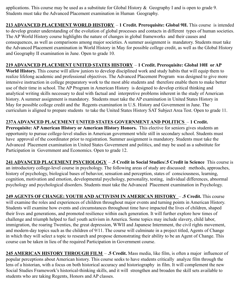applications. This course may be used as a substitute for Global History & Geography I and is open to grade 9. Students must take the Advanced Placement examination in Human Geography.

**213 ADVANCED PLACEMENT WORLD HISTORY** – **1 Credit. Prerequisite: Global 9H.** This course is intended to develop greater understanding of the evolution of global processes and contacts in different types of human societies. The AP World History course highlights the nature of changes in global frameworks and their causes and consequences, as well as comparisons among major societies. A summer assignment is mandatory. Students must take the Advanced Placement examination in World History in May for possible college credit, as well as the Global History and Geography II examination in June. Open to grade 10.

#### **219 ADVANCED PLACEMENT UNITED STATES HISTORY** – **1 Credit. Prerequisite: Global 10H or AP**

**World History.** This course will allow juniors to develop disciplined work and study habits that will equip them to realize lifelong academic and professional objectives. The Advanced Placement Program was designed to give more intensive instruction in college preparatory work to the most able students and therefore enable them to make better use of their time in school. The AP Program in American History is designed to develop critical thinking and analytical writing skills necessary to deal with factual and interpretive problems inherent in the study of American history. A summer assignment is mandatory. Students must take the AP examination in United States History in May for possible college credit and the Regents examination in U.S. History and Government in June. The curriculum is aligned to prepare students to take the United States History SAT Subject Area Test. Open to grade 11.

#### **237AADVANCED PLACEMENT UNITED STATES GOVERNMENT AND POLITICS** – **1 Credit.**

**Prerequisite: APAmerican History or American History Honors.** This elective for seniors gives students an opportunity to pursue college-level studies in American government while still in secondary school. Students must have approval of the coordinator prior to registration. Summer assignment is mandatory. Students must take the Advanced Placement examination in United States Government and politics, and may be used as a substitute for Participation in Government and Economics. Open to grade 12.

**241 ADVANCED PLACEMENT PSYCHOLOGY** – **.5 Credit in Social Studies/.5 Credit in Science** This course is an introductory college-level course in psychology. The following areas of study are discussed: methods, approaches, history of psychology, biological bases of behavior, sensation and perception, states of consciousness, learning, cognition, motivation and emotion, developmental psychology, personality, testing, individual differences, abnormal psychology and psychological disorders. Students must take the Advanced Placement examination in Psychology.

**249 AGENTS OF CHANGE: YOUTH AND ACTIVISM IN AMERICAN HISTORY** – **.5 Credit.** This course will examine the roles and experiences of children throughout major events and turning points in American History. Students will examine how events and circumstances throughout time have impacted the lives of children, shaped their lives and generations, and promoted resilience within each generation. It will further explore how times of challenge and triumph helped to fuel youth activism in America. Some topics may include slavery, child labor, immigration, the roaring Twenties, the great depression, WWII and Japanese Internment, the civil rights movement, and modern-day topics such as the children of 9/11. The course will culminate in a project titled, Agents of Change in which they will select a topic to research and propose demonstrating their ability to be an Agent of Change. This course can be taken in lieu of the required Participation in Government course.

**245 AMERICAN HISTORY THROUGH FILM** – **.5 Credit.** Mass media, like film, is often a major influencer of popular perceptions about American history. This course seeks to have students critically analyze film through the lens of a historian, with a focus on both historical accuracy and historiography in film. It will complement the new Social Studies Framework's historical-thinking skills, and it will strengthen and broaden the skill sets available to students who are taking Regents, Honors and AP classes.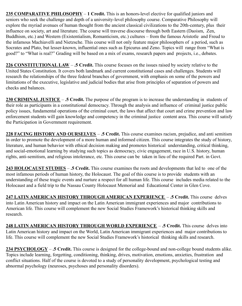**235 COMPARATIVE PHILOSOPHY** – **1 Credit.** This is an honors-level elective for qualified juniors and seniors who seek the challenge and depth of a university-level philosophy course. Comparative Philosophy will explore the myriad avenues of human thought from the ancient classical civilizations to the 20th-century, plus their influence on society, art and literature. The course will traverse discourse through both Eastern (Daoism, Zen, Buddhism, etc.) and Western (Existentialism, Romanticism, etc.) cultures – from the famous Aristotle and Freud to the infamous Machiavelli and Nietzsche. This course will not only feature major philosophers of a period, such as Socrates and Plato, but lesser-known, influential ones such as Epicurus and Zeno. Topics will range from "What is good?" to "What is real?" Grading will be based on a mix of exams, research papers and projects, i.e., debates.

**226 CONSTITUTIONAL LAW** – **.5 Credit.** This course focuses on the issues raised by society relative to the United States Constitution. It covers both landmark and current constitutional cases and challenges. Students will research the relationships of the three federal branches of government, with emphasis on some of the powers and limitations of the executive, legislative and judicial bodies that arise from principles of separation of powers and checks and balances.

**230 CRIMINAL JUSTICE** – **.5 Credit.** The purpose of the program is to increase the understanding in students of their role as participants in a constitutional democracy. Through the analysis and influence of criminal justice public policy issues, fundamental operations of the criminal court, the laws that affect that court and crime prevention and law enforcement students will gain knowledge and competency in the criminal justice content area. This course will satisfy the Participation in Government requirement.

**228 FACING HISTORY AND OURSELVES** – **.5 Credit.** This course examines racism, prejudice, and anti semitism in order to promote the development of a more human and informed citizen. This course integrates the study of history, literature, and human behavior with ethical decision making and promotes historical understanding, critical thinking, and social-emotional learning by studying such topics as democracy, civic engagement, race in U.S. history, human rights, anti-semitism, and religious intolerance, etc. This course can be taken in lieu of the required Part. in Govt.

**243 HOLOCAUST STUDIES** – **.5 Credit.** This course examines the roots and developments that led to one of the most infamous periods of human history, the Holocaust. The goal of this course is to provide students with an understanding of these tragic events and nurture a respect for all human life. This course includes media related to the Holocaust and a field trip to the Nassau County Holocaust Memorial and Educational Center in Glen Cove.

**247 LATIN AMERICAN HISTORY THROUGH AMERICAN EXPERIENCE** – **.5 Credit.** This course delves into Latin American history and impact on the Latin American immigrant experiences and major contributions to American life. This course will complement the new Social Studies Framework's historical thinking skills and research.

**248 LATIN AMERICAN HISTORY THROUGH WORLD EXPERIENCE** – **.5 Credit.** This course delves into Latin American history and impact on the World, Latin American immigrant experiences and major contributions to life. This course will complement the new Social Studies Framework's historical thinking skills and research.

**234 PSYCHOLOGY** – **.5 Credit.** This course is designed for the college-bound and non-college bound students alike. Topics include learning, forgetting, conditioning, thinking, drives, motivation, emotions, anxieties, frustration and conflict situations. Half of the course is devoted to a study of personality development, psychological testing and abnormal psychology (neuroses, psychoses and personality disorders).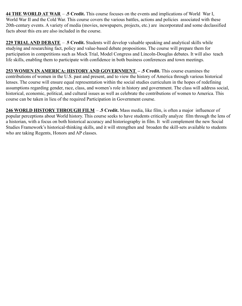**44 THE WORLD AT WAR** – **.5 Credit.** This course focuses on the events and implications of World War I, World War II and the Cold War. This course covers the various battles, actions and policies associated with these 20th-century events. A variety of media (movies, newspapers, projects, etc.) are incorporated and some declassified facts about this era are also included in the course.

**229 TRIALAND DEBATE** – .**5 Credit.** Students will develop valuable speaking and analytical skills while studying and researching fact, policy and value-based debate propositions. The course will prepare them for participation in competitions such as Mock Trial, Model Congress and Lincoln-Douglas debates. It will also teach life skills, enabling them to participate with confidence in both business conferences and town meetings.

**253 WOMEN IN AMERICA: HISTORY AND GOVERNMENT – .5 Credit.** This course examines the contributions of women in the U.S. past and present, and to view the history of America through various historical lenses. The course will ensure equal representation within the social studies curriculum in the hopes of redefining assumptions regarding gender, race, class, and women's role in history and government. The class will address social, historical, economic, political, and cultural issues as well as celebrate the contributions of women to America. This course can be taken in lieu of the required Participation in Government course.

**246 WORLD HISTORY THROUGH FILM** – **.5 Credit.** Mass media, like film, is often a major influencer of popular perceptions about World history. This course seeks to have students critically analyze film through the lens of a historian, with a focus on both historical accuracy and historiography in film. It will complement the new Social Studies Framework's historical-thinking skills, and it will strengthen and broaden the skill-sets available to students who are taking Regents, Honors and AP classes.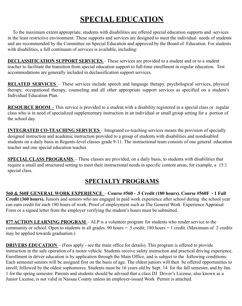### **SPECIAL EDUCATION**

To the maximum extent appropriate, students with disabilities are offered special education supports and services in the least restrictive environment. These supports and services are designed to meet the individual needs of students and are recommended by the Committee on Special Education and approved by the Board of Education. For students with disabilities, a full continuum of services is available, including:

**DECLASSIFICATION SUPPORT SERVICES** – These services are provided to a student and or to a student teacher to facilitate the transition from special education support to full-time enrollment in regular education. Test accommodations are generally included in declassification support services.

**RELATED SERVICES** – These services include speech and language therapy, psychological services, physical therapy, occupational therapy, counseling and all other appropriate support services as specified on a student's Individual Education Plan.

**RESOURCE ROOM** – This service is provided to a student with a disability registered in a special class or regular class who is in need of specialized supplementary instruction in an individual or small group setting for a portion of the school day.

**INTEGRATED CO-TEACHING SERVICES** – Integrated co-teaching services means the provision of specially designed instruction and academic instruction provided to a group of students with disabilities and nondisabled students on a daily basis in Regents-level classes grade 9-11. The instructional team consists of one general education teacher and one special education teacher.

**SPECIAL CLASS PROGRAMS** – These classes are provided, on a daily basis, to students with disabilities that require a small and structured setting to meet their instructional needs in specific content areas, for example, a 15:1 special class.

#### **SPECIALTY PROGRAMS**

**560 & 560F GENERAL WORK EXPERIENCE** – **Course #560 - .5 Credit (180 hours). Course #560F - 1 Full Credit (360 hours).** Juniors and seniors who are engaged in paid work experience after school during the school year can earn credit for each 180 hours of work. Proof of employment such as The General Work Experience Appraisal Form or a signed letter from the employer verifying the student's hours must be submitted.

**877 ACTION LEARNING PROGRAM** – ALP is a volunteer program for students who render service to the community or school. Open to students in all grades. 90 hours = .5 credit; 180 hours = 1 credit. (Maximum of 2 credits may be applied towards graduation.)

**DRIVERS EDUCATION** – (Fees apply - see the main office for details). This program is offered to provide instruction in the safe operation of a motor vehicle. Students receive safety instruction and practical driving experience. Enrollment in driver education is by application through the Main Office, and is subject to the following conditions: Each semester seniors will be assigned first on the basis of age. The oldest juniors will then be offered opportunities to enroll, followed by the oldest sophomores. Students must be 16 years old by Sept. 14 for the fall semester, and by Jan. 1 for the spring semester. Parents and students should be advised that a class DJ Driver's License, also known as a Junior License, is not valid in Nassau County unless an employer-issued Work Permit is attached.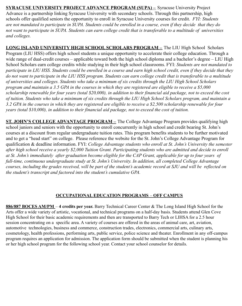**SYRACUSE UNIVERSITY PROJECT ADVANCE PROGRAM (SUPA) –** Syracuse University Project Advance is a partnership linking Syracuse University with secondary schools. Through this partnership, high schools offer qualified seniors the opportunity to enroll in Syracuse University courses for credit. *FYI: Students are not mandated to participate in SUPA. Students could be enrolled in a course, even if they decide that they do not want to participate in SUPA. Students can earn college credit that is transferable to a multitude of universities and colleges.*

**LONG ISLAND UNIVERSITY HIGH SCHOOL SCHOLARS PROGRAM –** The LIU High School Scholars Program (LIU HSS) offers high school students a unique opportunity to accelerate their college education. Through a wide range of dual-credit courses – applicable toward both the high school diploma and a bachelor's degree – LIU High School Scholars earn college credits while studying in their high school classrooms. FYI: *Students are not mandated to participate in LIU HSS. Students could be enrolled in a course and earn high school credit, even if they decide that they do not want to participate in the LIU HSS program. Students can earn college credit that is transferable to a multitude of universities and colleges. Students who take a minimum of six credits through the LIU High School Scholars program and maintain a 3.5 GPA in the courses in which they are registered are eligible to receive a \$5,000 scholarship renewable for four years (total \$20,000), in addition to their financial aid package, not to exceed the cost of tuition. Students who take a minimum of six credits through the LIU High School Scholars program, and maintain a 3.2 GPA in the courses in which they are registered are eligible to receive a \$2,500 scholarship renewable for four years (total \$10,000), in addition to their financial aid package, not to exceed the cost of tuition.*

**ST. JOHN'S COLLEGE ADVANTAGE PROGRAM –** The College Advantage Program provides qualifying high school juniors and seniors with the opportunity to enroll concurrently in high school and credit bearing St. John's courses at a discount from regular undergraduate tuition rates. This program benefits students to be further motivated and to get a "head start" on college. Please reference the website for the St. John's College Advantage Program for qualification & deadline information. FYI: *College Advantage students who enroll at St. John's University the semester after high school receive a yearly \$2,000 Tuition Grant. Participating students who are admitted and decide to enroll at St. John's immediately after graduation become eligible for the CAP Grant, applicable for up to four years of full-time, continuous undergraduate study at St. John's University. In addition, all completed College Advantage courses, including the grades received, will be part of the student's academic record at SJU and will be reflected on the student's transcript and factored into the student's cumulative GPA.*

#### **OCCUPATIONAL EDUCATION PROGRAMS** – **OFF CAMPUS**

**886/887 BOCES AM/PM** – **4 credits per year.** Barry Technical Career Center & The Long Island High School for the Arts offer a wide variety of artistic, vocational, and technical programs on a half-day basis. Students attend Glen Cove High School for their basic academic requirements and then are transported to Barry Tech or LIHSA for a 2.5 hour session concentrating on a specific area. A variety of courses are offered in the areas of animal care, art, aviation, automotive technologies, business and commerce, construction trades, electronics, commercial arts, culinary arts, cosmetology, health professions, performing arts, public service, police science and theater. Enrollment in any off-campus program requires an application for admission. The application form should be submitted when the student is planning his or her high school program for the following school year. Contact your school counselor for details.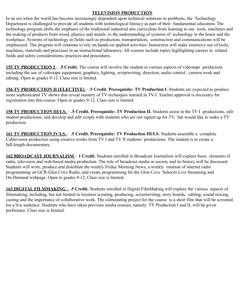#### **TELEVISION PRODUCTION**

In an era when the world has become increasingly dependent upon technical solutions to problems, the Technology Department is challenged to provide all students with technological literacy as part of their fundamental education. The technology program shifts the emphasis of the traditional industrial arts curriculum from learning to use tools, machines and the making of products from wood, plastics and metals, to the understanding of systems of technology in the home and the workplace. Systems of technology in fields such as production, transportation, construction and communications will be emphasized. The program will continue to rely on hands-on applied activities. Instruction will make extensive use of tools, machines, materials and processes in an instructional laboratory. All courses include topics highlighting careers in related fields and safety considerations, practices and procedures.

**155 TV PRODUCTION I** – **.5 Credit.** The course will involve the student in various aspects of videotape production, including the use of videotape equipment, graphics, lighting, scriptwriting, direction, audio control, camera work and editing. Open to grades 9-12. Class size is limited.

**156 TV PRODUCTION II (ELECTIVE)** – **.5 Credit. Prerequisite: TV Production I**. Students are expected to produce more sophisticated TV shows that reveal mastery of TV techniques learned in TV-I. Teacher approval is necessary for registration into this course. Open to grades 9-12. Class size is limited.

**158 TV PRODUCTION III/I.S.** – **.5 Credit. Prerequisite: TV Production II.** Students assist in the TV I productions, edit student productions, and develop and edit scripts with students who are not signed up for TV, but would like to make a TV production.

**161 TV PRODUCTION IV/I.S.** – **.5 Credit. Prerequisite: TV Production III/I.S.** Students assemble a complete Cablevision production using creative works from TV I and TV II students' productions. The student is to create a full-length documentary.

**162 BROADCAST JOURNALISM** – **1 Credit.** Students enrolled in Broadcast Journalism will explore basic elements of radio, television and web-based media production. The role of broadcast media in society and its history will be discussed. Students will write, produce and distribute the weekly Friday Morning News, a weekly rotation of internet radio programming on GCR-Glen Cove Radio, and create programming for the Glen Cove Schools Live Streaming and On-Demand webpage. Open to grades 9-12. Class size is limited.

**163 DIGITAL FILMMAKING** – **.5 Credit.** Students enrolled in Digital FilmMaking will explore the various aspects of filmmaking, including, but not limited to location scouting, producing, screenwriting, story boards, editing, sound mixing, casting and the importance of collaborative work. The culminating project for the course is a short film that will be screened for a live audience. Students who have taken previous media courses, namely TV Production I and II, will be given preference. Class size is limited.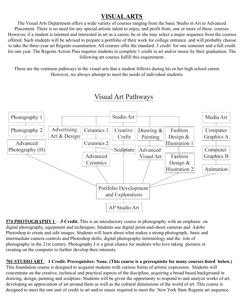#### **VISUALARTS**

The Visual Arts Department offers a wide variety of courses ranging from the basic Studio in Art to Advanced Placement. There is no need for any special artistic talent to enjoy, and profit from, one or more of these courses. However, if a student is talented and interested in art as a career, he or she may select a major sequence from the courses offered. Such students will be advised to prepare a portfolio of their work for college entrance and will probably choose to take the three-year art Regents examination. All courses offer the standard .5 credit for one semester and a full credit for one year. The Regents Action Plan requires students to complete 1 credit in art and/or music by their graduation. The following art courses fulfill this requirement.

These are the common pathways in the visual arts that a student follows during his or her high school career. However, we always attempt to meet the needs of individual students.



### **Visual Art Pathways**

**574 PHOTOGRAPHY I** – **.5 Credit.** This is an introductory course in photography with an emphasis on digital photography, equipment and techniques. Students use digital point-and-shoot cameras and Adobe Photoshop to create and edit images. Students will learn about what makes a strong photograph, basic and intermediate camera controls and Photoshop skills, digital photography terminology and the role of photography in the 21st century. Photography I is a great chance for students who love taking pictures or creating on the computer to further develop their interests.

**701 STUDIO ART** – **1 Credit. Prerequisites: None. (This course is a prerequisite for many courses listed below.)** This foundation course is designed to acquaint students with various forms of artistic expression. Students will concentrate on the creative, technical and practical aspects of the discipline, acquiring a broad based background in drawing, design, painting and sculpture. Students will be given the opportunity to respond to and analyze works of art, developing an appreciation of art around them as well as the cultural dimensions of the world of art. This course is designed to meet the one unit of credit in art and/or music required to meet the New York State Regents art sequence.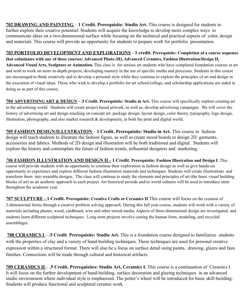**702 DRAWING AND PAINTING** – **1 Credit. Prerequisite: Studio Art.** This course is designed for students to further explore their creative potential. Students will acquire the knowledge to develop more complex ways to communicate ideas on a two-dimensional surface while focusing on the technical and practical aspects of color, design and materials. This course will provide an opportunity for students to prepare work for portfolio presentation.

**703 PORTFOLIO DEVELOPMENT AND EXPLORATIONS** - **1 credit. Prerequisite: Completion of a course sequence that culminates with any of these courses: Advanced Photo (H), Advanced Ceramics, Fashion Illustration/Design II, Advanced Visual Arts, Sculpture or Animation.**This class is for serious art students who have completed foundation courses in art and wish to work on more in-depth projects, developing mastery in the use of specific media and processes. Students in this course are encouraged to think creatively and to develop a personal style while they continue to explore the principles of art and design in the execution of visual ideas. Those who wish to develop a portfolio for art school/college, and scholarship applications are aided in doing so as part of this course.

**704 ADVERTISING ART & DESIGN - .5 Credit. Prerequisite: Studio in Art.** This course will specifically explore creating art in the advertising world. Students will create project based artwork, as well as, develop advertising campaigns. We will cover the history of advertising art and design touching on concept art, package design, layout design, color theory, typography, logo design, illustration, photography, and also market research & development, in both the print and digital world.

**705 FASHION DESIGN/ILLUSTRATION** – **1 Credit. Prerequisite: Studio in Art.** This course in fashion design will teach students to illustrate the fashion figure, as well as create mood boards to design 2D garments, accessories and fabrics. Methods of 2D design and illustration will be both traditional and digital. Students will explore the history and contemplate the future of fashion trends, influential designers and marketing.

*706* **FASHION ILLUSTRATION AND DESIGN II - 1 Credit. Prerequisite: Fashion Illustration and Design I.** This course will provide students with an opportunity to continue their exploration in fashion design as well as give hands-on opportunity to experience and explore different fashion illustration materials and techniques. Students will create illustrations and transform them into wearable designs. The class will continue to study the elements and principles of art (the basic visual building blocks of art) as an aesthetic approach to each project. Art historical periods and/or world cultures will be used to introduce units throughout the academic year.

**707 SCULPTURE - 1 Credit. Prerequisite: Creative Crafts or Ceramics II**.This course will focus on the creation of 3-dimensional forms through a creative problem solving approach. During this full year course, students will work with a variety of materials including plaster, wood, cardboard, wire and other mixed media. Aspects of three-dimensional design are investigated, and students learn different sculptural techniques. Long-term projects involve casting the human form, modeling, and recycled assemblages.

**708 CERAMICS I** – **.5 Credit**. **Prerequisite: Studio Art.** This is a foundation course designed to familiarize students with the properties of clay and a variety of hand-building techniques. These techniques are used for personal creative expression within a structured format. There will also be a focus on surface detail using paints, drawing, glazes and faux finishes. Connections will be made through cultural and historical artifacts.

**709 CERAMICS II** – **.5 Credit. Prerequisites: Studio Art, Ceramics I.** This course is a continuation of Ceramics I. It will focus on the further development of hand-building, surface decoration and glazing techniques in an advanced studio environment where individual style is emphasized. The potter's wheel will be introduced for basic skill-building. Students will produce functional and sculptural ceramic work.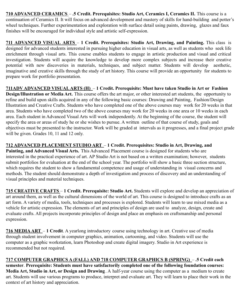**710 ADVANCED CERAMICS** – **.5 Credit. Prerequisites: Studio Art, Ceramics I, Ceramics II.** This course is a continuation of Ceramics II. It will focus on advanced development and mastery of skills for hand-building and potter's wheel techniques. Further experimentation and exploration with surface detail using paints, drawing, glazes and faux finishes will be encouraged for individual style and artistic self-expression.

**711 ADVANCED VISUAL ARTS** – **1 Credit. Prerequisites: Studio Art, Drawing, and Painting.** This class is designed for advanced students interested in pursuing higher education in visual arts, as well as students who seek life enrichment through visual arts. This course enables students to engage in artistic production and visual and critical investigation. Students will acquire the knowledge to develop more complex subjects and increase their creative potential with new discoveries in materials, techniques, and subject matter. Students will develop aesthetic, imaginative and creative skills through the study of art history. This course will provide an opportunity for students to prepare work for portfolio presentation.

**711ADV ADVANCED VISUALARTS (H)** – **1 Credit. Prerequisite: Must have taken Studio in Art or Fashion Design/Illustration or Media Art.** This course offers the art major, or other interested art students, the opportunity to refine and build upon skills acquired in any of the following basic courses: Drawing and Painting, Fashion/Design Illustration and Creative Crafts. Students who have completed one of the above courses may work for 20 weeks in that area. Students who have completed two of the above courses may work for 20 weeks in one area or 10 weeks in each area. Each student in Advanced Visual Arts will work independently. At the beginning of the course, the student will specify the area or areas of study he or she wishes to pursue. A written outline of that course of study, goals and objectives must be presented to the instructor. Work will be graded at intervals as it progresses, and a final project grade will be given. Grades 10, 11 and 12 only.

#### **712 ADVANCED PLACEMENT STUDIO ART** – **1 Credit. Prerequisites: Studio in Art, Drawing, and**

**Painting, and Advanced Visual Arts.** This Advanced Placement course is designed for students who are interested in the practical experience of art. AP Studio Art is not based on a written examination; however, students submit portfolios for evaluation at the end of the school year. The portfolio will show a basic three section structure, which requires the student to show a fundamental competence and usage of understanding in visual concerns and methods. The student should demonstrate a depth of investigation and process of discovery and an understanding of visual principles and material techniques.

**715 CREATIVE CRAFTS** – **1 Credit. Prerequisite: Studio Art.** Students will explore and develop an appreciation of art around them, as well as the cultural dimensions of the world of art. This course is designed to introduce crafts as an art form. A variety of media, tools, techniques and processes is explored. Students will learn to use mixed media as a vehicle for artistic expression. The elements of art and principles of design are used to analyze, design, create and evaluate crafts. All projects incorporate principles of design and place an emphasis on craftsmanship and personal expression.

**716 MEDIAART** – **1 Credit**. A yearlong introductory course using technology in art. Creative use of media through student involvement in computer graphics, animation, cartooning, and video. Students will use the computer as a graphic workstation, learn Photoshop and create digital imagery. Studio in Art experience is recommended but not required.

**717 COMPUTER GRAPHICS A (FALL) AND 718 COMPUTER GRAPHICS B (SPRING)** – **.5 Credit each semester**. **Prerequisite: Students must have satisfactorily completed one of the following foundation courses: Media Art, Studio in Art, or Design and Drawing** . A half-year course using the computer as a medium to create art. Students will use various programs to produce, interpret and evaluate art. They will learn to place their work in the context of art history and appreciation.